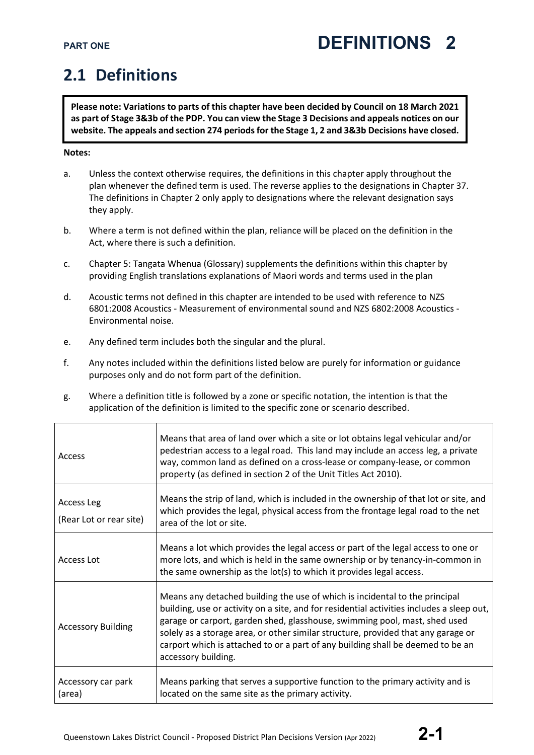### **2.1 Definitions**

**Please note: Variations to parts of this chapter have been decided by Council on 18 March 2021 as part of Stage 3&3b of the PDP. You can view the Stage 3 Decisions and appeals notices on our website. The appeals and section 274 periods for the Stage 1, 2 and 3&3b Decisions have closed.**

### **Notes:**

- a. Unless the context otherwise requires, the definitions in this chapter apply throughout the plan whenever the defined term is used. The reverse applies to the designations in Chapter 37. The definitions in Chapter 2 only apply to designations where the relevant designation says they apply.
- b. Where a term is not defined within the plan, reliance will be placed on the definition in the Act, where there is such a definition.
- c. Chapter 5: Tangata Whenua (Glossary) supplements the definitions within this chapter by providing English translations explanations of Maori words and terms used in the plan
- d. Acoustic terms not defined in this chapter are intended to be used with reference to NZS 6801:2008 Acoustics - Measurement of environmental sound and NZS 6802:2008 Acoustics - Environmental noise.
- e. Any defined term includes both the singular and the plural.
- f. Any notes included within the definitions listed below are purely for information or guidance purposes only and do not form part of the definition.
- g. Where a definition title is followed by a zone or specific notation, the intention is that the application of the definition is limited to the specific zone or scenario described.

| Access                                | Means that area of land over which a site or lot obtains legal vehicular and/or<br>pedestrian access to a legal road. This land may include an access leg, a private<br>way, common land as defined on a cross-lease or company-lease, or common<br>property (as defined in section 2 of the Unit Titles Act 2010).                                                                                                                                   |
|---------------------------------------|-------------------------------------------------------------------------------------------------------------------------------------------------------------------------------------------------------------------------------------------------------------------------------------------------------------------------------------------------------------------------------------------------------------------------------------------------------|
| Access Leg<br>(Rear Lot or rear site) | Means the strip of land, which is included in the ownership of that lot or site, and<br>which provides the legal, physical access from the frontage legal road to the net<br>area of the lot or site.                                                                                                                                                                                                                                                 |
| Access Lot                            | Means a lot which provides the legal access or part of the legal access to one or<br>more lots, and which is held in the same ownership or by tenancy-in-common in<br>the same ownership as the lot(s) to which it provides legal access.                                                                                                                                                                                                             |
| <b>Accessory Building</b>             | Means any detached building the use of which is incidental to the principal<br>building, use or activity on a site, and for residential activities includes a sleep out,<br>garage or carport, garden shed, glasshouse, swimming pool, mast, shed used<br>solely as a storage area, or other similar structure, provided that any garage or<br>carport which is attached to or a part of any building shall be deemed to be an<br>accessory building. |
| Accessory car park<br>(area)          | Means parking that serves a supportive function to the primary activity and is<br>located on the same site as the primary activity.                                                                                                                                                                                                                                                                                                                   |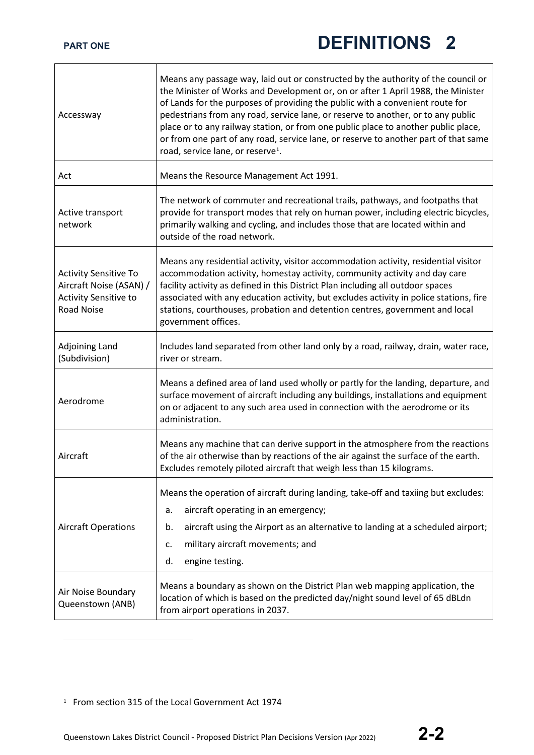| Accessway                                                                                             | Means any passage way, laid out or constructed by the authority of the council or<br>the Minister of Works and Development or, on or after 1 April 1988, the Minister<br>of Lands for the purposes of providing the public with a convenient route for<br>pedestrians from any road, service lane, or reserve to another, or to any public<br>place or to any railway station, or from one public place to another public place,<br>or from one part of any road, service lane, or reserve to another part of that same<br>road, service lane, or reserve <sup>1</sup> . |
|-------------------------------------------------------------------------------------------------------|--------------------------------------------------------------------------------------------------------------------------------------------------------------------------------------------------------------------------------------------------------------------------------------------------------------------------------------------------------------------------------------------------------------------------------------------------------------------------------------------------------------------------------------------------------------------------|
| Act                                                                                                   | Means the Resource Management Act 1991.                                                                                                                                                                                                                                                                                                                                                                                                                                                                                                                                  |
| Active transport<br>network                                                                           | The network of commuter and recreational trails, pathways, and footpaths that<br>provide for transport modes that rely on human power, including electric bicycles,<br>primarily walking and cycling, and includes those that are located within and<br>outside of the road network.                                                                                                                                                                                                                                                                                     |
| <b>Activity Sensitive To</b><br>Aircraft Noise (ASAN) /<br>Activity Sensitive to<br><b>Road Noise</b> | Means any residential activity, visitor accommodation activity, residential visitor<br>accommodation activity, homestay activity, community activity and day care<br>facility activity as defined in this District Plan including all outdoor spaces<br>associated with any education activity, but excludes activity in police stations, fire<br>stations, courthouses, probation and detention centres, government and local<br>government offices.                                                                                                                    |
| Adjoining Land<br>(Subdivision)                                                                       | Includes land separated from other land only by a road, railway, drain, water race,<br>river or stream.                                                                                                                                                                                                                                                                                                                                                                                                                                                                  |
| Aerodrome                                                                                             | Means a defined area of land used wholly or partly for the landing, departure, and<br>surface movement of aircraft including any buildings, installations and equipment<br>on or adjacent to any such area used in connection with the aerodrome or its<br>administration.                                                                                                                                                                                                                                                                                               |
| Aircraft                                                                                              | Means any machine that can derive support in the atmosphere from the reactions<br>of the air otherwise than by reactions of the air against the surface of the earth.<br>Excludes remotely piloted aircraft that weigh less than 15 kilograms.                                                                                                                                                                                                                                                                                                                           |
| <b>Aircraft Operations</b>                                                                            | Means the operation of aircraft during landing, take-off and taxiing but excludes:<br>aircraft operating in an emergency;<br>a.<br>aircraft using the Airport as an alternative to landing at a scheduled airport;<br>b.<br>military aircraft movements; and<br>c.<br>d.<br>engine testing.                                                                                                                                                                                                                                                                              |
| Air Noise Boundary<br>Queenstown (ANB)                                                                | Means a boundary as shown on the District Plan web mapping application, the<br>location of which is based on the predicted day/night sound level of 65 dBLdn<br>from airport operations in 2037.                                                                                                                                                                                                                                                                                                                                                                         |

<span id="page-1-0"></span><sup>1</sup> From section 315 of the Local Government Act 1974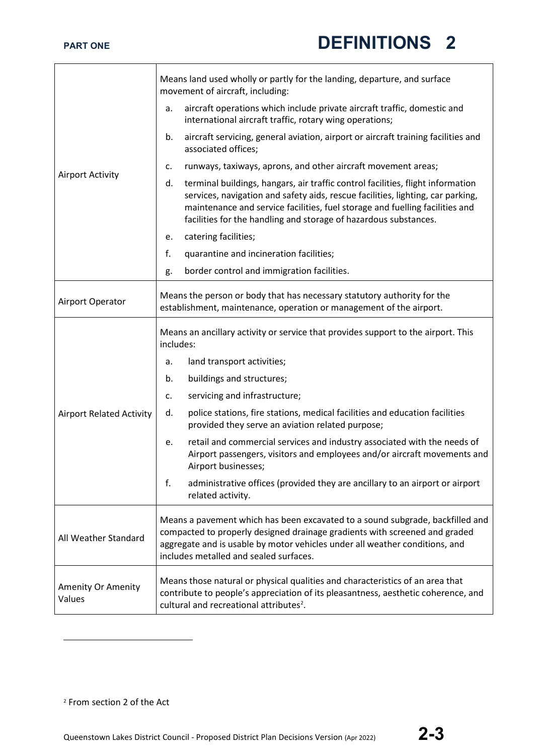| <b>Airport Activity</b>         | Means land used wholly or partly for the landing, departure, and surface<br>movement of aircraft, including:                                                                                                                                                                                                                 |
|---------------------------------|------------------------------------------------------------------------------------------------------------------------------------------------------------------------------------------------------------------------------------------------------------------------------------------------------------------------------|
|                                 | aircraft operations which include private aircraft traffic, domestic and<br>a.<br>international aircraft traffic, rotary wing operations;                                                                                                                                                                                    |
|                                 | aircraft servicing, general aviation, airport or aircraft training facilities and<br>b.<br>associated offices;                                                                                                                                                                                                               |
|                                 | runways, taxiways, aprons, and other aircraft movement areas;<br>c.                                                                                                                                                                                                                                                          |
|                                 | terminal buildings, hangars, air traffic control facilities, flight information<br>d.<br>services, navigation and safety aids, rescue facilities, lighting, car parking,<br>maintenance and service facilities, fuel storage and fuelling facilities and<br>facilities for the handling and storage of hazardous substances. |
|                                 | catering facilities;<br>e.                                                                                                                                                                                                                                                                                                   |
|                                 | f.<br>quarantine and incineration facilities;                                                                                                                                                                                                                                                                                |
|                                 | border control and immigration facilities.<br>g.                                                                                                                                                                                                                                                                             |
| Airport Operator                | Means the person or body that has necessary statutory authority for the<br>establishment, maintenance, operation or management of the airport.                                                                                                                                                                               |
|                                 | Means an ancillary activity or service that provides support to the airport. This<br>includes:                                                                                                                                                                                                                               |
|                                 | land transport activities;<br>a.                                                                                                                                                                                                                                                                                             |
|                                 | buildings and structures;<br>b.                                                                                                                                                                                                                                                                                              |
|                                 | servicing and infrastructure;<br>c.                                                                                                                                                                                                                                                                                          |
| <b>Airport Related Activity</b> | police stations, fire stations, medical facilities and education facilities<br>d.<br>provided they serve an aviation related purpose;                                                                                                                                                                                        |
|                                 | retail and commercial services and industry associated with the needs of<br>e.<br>Airport passengers, visitors and employees and/or aircraft movements and<br>Airport businesses;                                                                                                                                            |
|                                 | f.<br>administrative offices (provided they are ancillary to an airport or airport<br>related activity.                                                                                                                                                                                                                      |
| All Weather Standard            | Means a pavement which has been excavated to a sound subgrade, backfilled and<br>compacted to properly designed drainage gradients with screened and graded<br>aggregate and is usable by motor vehicles under all weather conditions, and<br>includes metalled and sealed surfaces.                                         |
| Amenity Or Amenity<br>Values    | Means those natural or physical qualities and characteristics of an area that<br>contribute to people's appreciation of its pleasantness, aesthetic coherence, and<br>cultural and recreational attributes <sup>2</sup> .                                                                                                    |

<span id="page-2-0"></span><sup>2</sup> From section 2 of the Act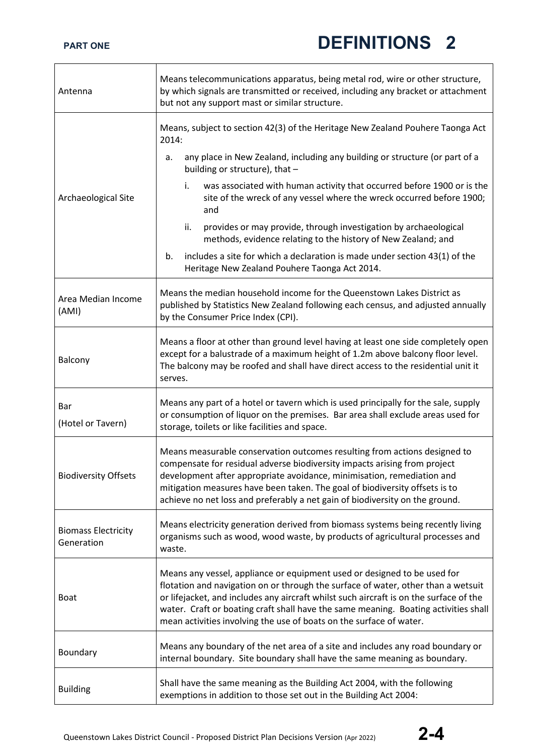| Antenna                                  | Means telecommunications apparatus, being metal rod, wire or other structure,<br>by which signals are transmitted or received, including any bracket or attachment<br>but not any support mast or similar structure.                                                                                                                                                                                                  |
|------------------------------------------|-----------------------------------------------------------------------------------------------------------------------------------------------------------------------------------------------------------------------------------------------------------------------------------------------------------------------------------------------------------------------------------------------------------------------|
|                                          | Means, subject to section 42(3) of the Heritage New Zealand Pouhere Taonga Act<br>2014:                                                                                                                                                                                                                                                                                                                               |
|                                          | any place in New Zealand, including any building or structure (or part of a<br>а.<br>building or structure), that -                                                                                                                                                                                                                                                                                                   |
| Archaeological Site                      | was associated with human activity that occurred before 1900 or is the<br>i.<br>site of the wreck of any vessel where the wreck occurred before 1900;<br>and                                                                                                                                                                                                                                                          |
|                                          | provides or may provide, through investigation by archaeological<br>ii.<br>methods, evidence relating to the history of New Zealand; and                                                                                                                                                                                                                                                                              |
|                                          | includes a site for which a declaration is made under section 43(1) of the<br>b.<br>Heritage New Zealand Pouhere Taonga Act 2014.                                                                                                                                                                                                                                                                                     |
| Area Median Income<br>(AMI)              | Means the median household income for the Queenstown Lakes District as<br>published by Statistics New Zealand following each census, and adjusted annually<br>by the Consumer Price Index (CPI).                                                                                                                                                                                                                      |
| Balcony                                  | Means a floor at other than ground level having at least one side completely open<br>except for a balustrade of a maximum height of 1.2m above balcony floor level.<br>The balcony may be roofed and shall have direct access to the residential unit it<br>serves.                                                                                                                                                   |
| Bar<br>(Hotel or Tavern)                 | Means any part of a hotel or tavern which is used principally for the sale, supply<br>or consumption of liquor on the premises. Bar area shall exclude areas used for<br>storage, toilets or like facilities and space.                                                                                                                                                                                               |
| <b>Biodiversity Offsets</b>              | Means measurable conservation outcomes resulting from actions designed to<br>compensate for residual adverse biodiversity impacts arising from project<br>development after appropriate avoidance, minimisation, remediation and<br>mitigation measures have been taken. The goal of biodiversity offsets is to<br>achieve no net loss and preferably a net gain of biodiversity on the ground.                       |
| <b>Biomass Electricity</b><br>Generation | Means electricity generation derived from biomass systems being recently living<br>organisms such as wood, wood waste, by products of agricultural processes and<br>waste.                                                                                                                                                                                                                                            |
| <b>Boat</b>                              | Means any vessel, appliance or equipment used or designed to be used for<br>flotation and navigation on or through the surface of water, other than a wetsuit<br>or lifejacket, and includes any aircraft whilst such aircraft is on the surface of the<br>water. Craft or boating craft shall have the same meaning. Boating activities shall<br>mean activities involving the use of boats on the surface of water. |
| Boundary                                 | Means any boundary of the net area of a site and includes any road boundary or<br>internal boundary. Site boundary shall have the same meaning as boundary.                                                                                                                                                                                                                                                           |
| <b>Building</b>                          | Shall have the same meaning as the Building Act 2004, with the following<br>exemptions in addition to those set out in the Building Act 2004:                                                                                                                                                                                                                                                                         |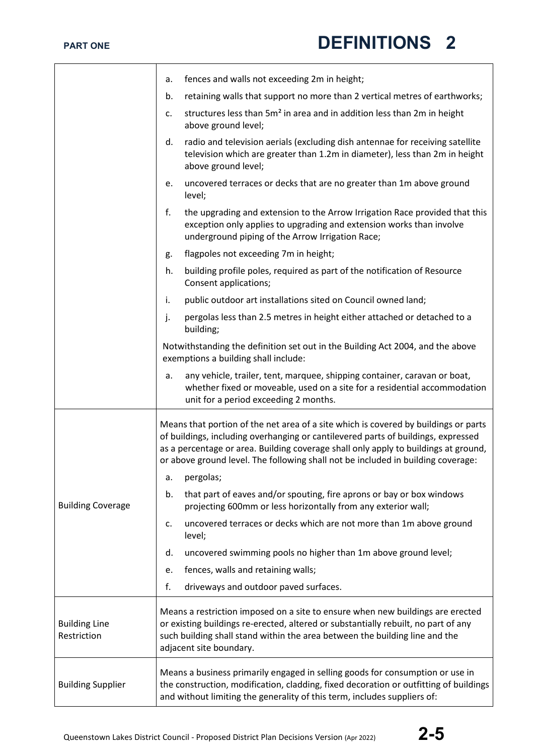|                                     | fences and walls not exceeding 2m in height;<br>а.                                                                                                                                                                                                                                                                                                  |
|-------------------------------------|-----------------------------------------------------------------------------------------------------------------------------------------------------------------------------------------------------------------------------------------------------------------------------------------------------------------------------------------------------|
|                                     | retaining walls that support no more than 2 vertical metres of earthworks;<br>b.                                                                                                                                                                                                                                                                    |
|                                     | structures less than 5m <sup>2</sup> in area and in addition less than 2m in height<br>c.<br>above ground level;                                                                                                                                                                                                                                    |
|                                     | d.<br>radio and television aerials (excluding dish antennae for receiving satellite<br>television which are greater than 1.2m in diameter), less than 2m in height<br>above ground level;                                                                                                                                                           |
|                                     | uncovered terraces or decks that are no greater than 1m above ground<br>e.<br>level;                                                                                                                                                                                                                                                                |
|                                     | f.<br>the upgrading and extension to the Arrow Irrigation Race provided that this<br>exception only applies to upgrading and extension works than involve<br>underground piping of the Arrow Irrigation Race;                                                                                                                                       |
|                                     | flagpoles not exceeding 7m in height;<br>g.                                                                                                                                                                                                                                                                                                         |
|                                     | building profile poles, required as part of the notification of Resource<br>h.<br>Consent applications;                                                                                                                                                                                                                                             |
|                                     | public outdoor art installations sited on Council owned land;<br>i.                                                                                                                                                                                                                                                                                 |
|                                     | j.<br>pergolas less than 2.5 metres in height either attached or detached to a<br>building;                                                                                                                                                                                                                                                         |
|                                     | Notwithstanding the definition set out in the Building Act 2004, and the above<br>exemptions a building shall include:                                                                                                                                                                                                                              |
|                                     | any vehicle, trailer, tent, marquee, shipping container, caravan or boat,<br>a.<br>whether fixed or moveable, used on a site for a residential accommodation<br>unit for a period exceeding 2 months.                                                                                                                                               |
| <b>Building Coverage</b>            | Means that portion of the net area of a site which is covered by buildings or parts<br>of buildings, including overhanging or cantilevered parts of buildings, expressed<br>as a percentage or area. Building coverage shall only apply to buildings at ground,<br>or above ground level. The following shall not be included in building coverage: |
|                                     | pergolas;<br>a.                                                                                                                                                                                                                                                                                                                                     |
|                                     | that part of eaves and/or spouting, fire aprons or bay or box windows<br>b.<br>projecting 600mm or less horizontally from any exterior wall;                                                                                                                                                                                                        |
|                                     | uncovered terraces or decks which are not more than 1m above ground<br>c.<br>level;                                                                                                                                                                                                                                                                 |
|                                     | uncovered swimming pools no higher than 1m above ground level;<br>d.                                                                                                                                                                                                                                                                                |
|                                     | fences, walls and retaining walls;<br>е.                                                                                                                                                                                                                                                                                                            |
|                                     | f.<br>driveways and outdoor paved surfaces.                                                                                                                                                                                                                                                                                                         |
| <b>Building Line</b><br>Restriction | Means a restriction imposed on a site to ensure when new buildings are erected<br>or existing buildings re-erected, altered or substantially rebuilt, no part of any<br>such building shall stand within the area between the building line and the<br>adjacent site boundary.                                                                      |
| <b>Building Supplier</b>            | Means a business primarily engaged in selling goods for consumption or use in<br>the construction, modification, cladding, fixed decoration or outfitting of buildings<br>and without limiting the generality of this term, includes suppliers of:                                                                                                  |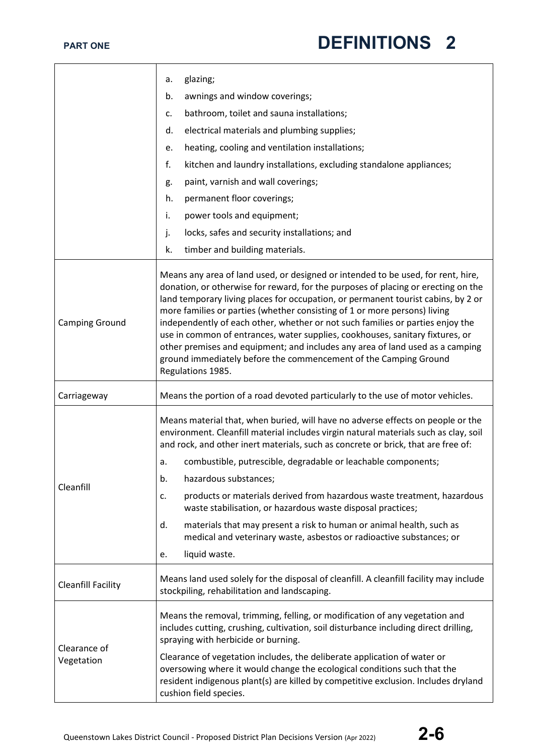|                            | glazing;<br>a.                                                                                                                                                                                                                                                                                                                                                                                                                                                                                                                                                                                                                                                                       |
|----------------------------|--------------------------------------------------------------------------------------------------------------------------------------------------------------------------------------------------------------------------------------------------------------------------------------------------------------------------------------------------------------------------------------------------------------------------------------------------------------------------------------------------------------------------------------------------------------------------------------------------------------------------------------------------------------------------------------|
|                            | awnings and window coverings;<br>b.                                                                                                                                                                                                                                                                                                                                                                                                                                                                                                                                                                                                                                                  |
|                            | bathroom, toilet and sauna installations;<br>c.                                                                                                                                                                                                                                                                                                                                                                                                                                                                                                                                                                                                                                      |
|                            | electrical materials and plumbing supplies;<br>d.                                                                                                                                                                                                                                                                                                                                                                                                                                                                                                                                                                                                                                    |
|                            | heating, cooling and ventilation installations;<br>e.                                                                                                                                                                                                                                                                                                                                                                                                                                                                                                                                                                                                                                |
|                            | f.<br>kitchen and laundry installations, excluding standalone appliances;                                                                                                                                                                                                                                                                                                                                                                                                                                                                                                                                                                                                            |
|                            | paint, varnish and wall coverings;<br>g.                                                                                                                                                                                                                                                                                                                                                                                                                                                                                                                                                                                                                                             |
|                            | permanent floor coverings;<br>h.                                                                                                                                                                                                                                                                                                                                                                                                                                                                                                                                                                                                                                                     |
|                            | i.<br>power tools and equipment;                                                                                                                                                                                                                                                                                                                                                                                                                                                                                                                                                                                                                                                     |
|                            | j.<br>locks, safes and security installations; and                                                                                                                                                                                                                                                                                                                                                                                                                                                                                                                                                                                                                                   |
|                            | timber and building materials.<br>k.                                                                                                                                                                                                                                                                                                                                                                                                                                                                                                                                                                                                                                                 |
| <b>Camping Ground</b>      | Means any area of land used, or designed or intended to be used, for rent, hire,<br>donation, or otherwise for reward, for the purposes of placing or erecting on the<br>land temporary living places for occupation, or permanent tourist cabins, by 2 or<br>more families or parties (whether consisting of 1 or more persons) living<br>independently of each other, whether or not such families or parties enjoy the<br>use in common of entrances, water supplies, cookhouses, sanitary fixtures, or<br>other premises and equipment; and includes any area of land used as a camping<br>ground immediately before the commencement of the Camping Ground<br>Regulations 1985. |
| Carriageway                | Means the portion of a road devoted particularly to the use of motor vehicles.                                                                                                                                                                                                                                                                                                                                                                                                                                                                                                                                                                                                       |
|                            | Means material that, when buried, will have no adverse effects on people or the<br>environment. Cleanfill material includes virgin natural materials such as clay, soil<br>and rock, and other inert materials, such as concrete or brick, that are free of:                                                                                                                                                                                                                                                                                                                                                                                                                         |
|                            | combustible, putrescible, degradable or leachable components;<br>a.                                                                                                                                                                                                                                                                                                                                                                                                                                                                                                                                                                                                                  |
| Cleanfill                  | hazardous substances;<br>b.                                                                                                                                                                                                                                                                                                                                                                                                                                                                                                                                                                                                                                                          |
|                            | products or materials derived from hazardous waste treatment, hazardous<br>c.<br>waste stabilisation, or hazardous waste disposal practices;                                                                                                                                                                                                                                                                                                                                                                                                                                                                                                                                         |
|                            | materials that may present a risk to human or animal health, such as<br>d.<br>medical and veterinary waste, asbestos or radioactive substances; or                                                                                                                                                                                                                                                                                                                                                                                                                                                                                                                                   |
|                            | liquid waste.<br>e.                                                                                                                                                                                                                                                                                                                                                                                                                                                                                                                                                                                                                                                                  |
| <b>Cleanfill Facility</b>  | Means land used solely for the disposal of cleanfill. A cleanfill facility may include<br>stockpiling, rehabilitation and landscaping.                                                                                                                                                                                                                                                                                                                                                                                                                                                                                                                                               |
| Clearance of<br>Vegetation | Means the removal, trimming, felling, or modification of any vegetation and<br>includes cutting, crushing, cultivation, soil disturbance including direct drilling,<br>spraying with herbicide or burning.                                                                                                                                                                                                                                                                                                                                                                                                                                                                           |
|                            | Clearance of vegetation includes, the deliberate application of water or<br>oversowing where it would change the ecological conditions such that the<br>resident indigenous plant(s) are killed by competitive exclusion. Includes dryland<br>cushion field species.                                                                                                                                                                                                                                                                                                                                                                                                                 |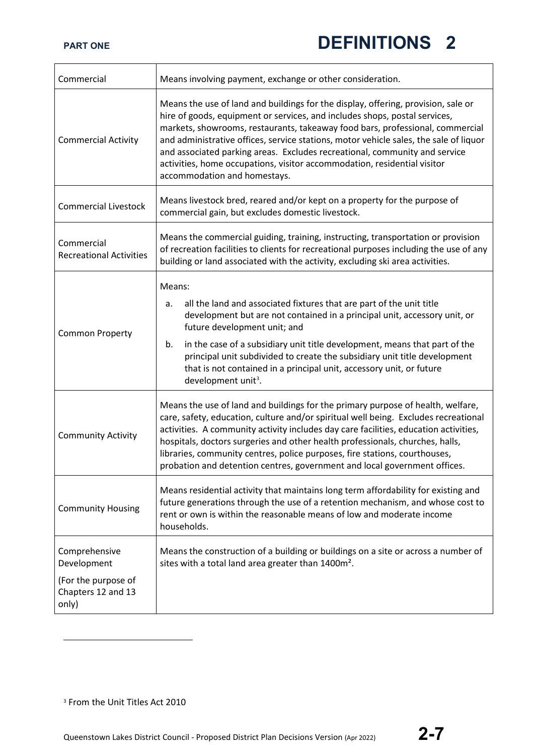| Commercial                                                                         | Means involving payment, exchange or other consideration.                                                                                                                                                                                                                                                                                                                                                                                                                                                                           |
|------------------------------------------------------------------------------------|-------------------------------------------------------------------------------------------------------------------------------------------------------------------------------------------------------------------------------------------------------------------------------------------------------------------------------------------------------------------------------------------------------------------------------------------------------------------------------------------------------------------------------------|
| <b>Commercial Activity</b>                                                         | Means the use of land and buildings for the display, offering, provision, sale or<br>hire of goods, equipment or services, and includes shops, postal services,<br>markets, showrooms, restaurants, takeaway food bars, professional, commercial<br>and administrative offices, service stations, motor vehicle sales, the sale of liquor<br>and associated parking areas. Excludes recreational, community and service<br>activities, home occupations, visitor accommodation, residential visitor<br>accommodation and homestays. |
| <b>Commercial Livestock</b>                                                        | Means livestock bred, reared and/or kept on a property for the purpose of<br>commercial gain, but excludes domestic livestock.                                                                                                                                                                                                                                                                                                                                                                                                      |
| Commercial<br><b>Recreational Activities</b>                                       | Means the commercial guiding, training, instructing, transportation or provision<br>of recreation facilities to clients for recreational purposes including the use of any<br>building or land associated with the activity, excluding ski area activities.                                                                                                                                                                                                                                                                         |
| <b>Common Property</b>                                                             | Means:<br>all the land and associated fixtures that are part of the unit title<br>a.<br>development but are not contained in a principal unit, accessory unit, or<br>future development unit; and<br>in the case of a subsidiary unit title development, means that part of the<br>b.<br>principal unit subdivided to create the subsidiary unit title development<br>that is not contained in a principal unit, accessory unit, or future<br>development unit <sup>3</sup> .                                                       |
| <b>Community Activity</b>                                                          | Means the use of land and buildings for the primary purpose of health, welfare,<br>care, safety, education, culture and/or spiritual well being. Excludes recreational<br>activities. A community activity includes day care facilities, education activities,<br>hospitals, doctors surgeries and other health professionals, churches, halls,<br>libraries, community centres, police purposes, fire stations, courthouses,<br>probation and detention centres, government and local government offices.                          |
| <b>Community Housing</b>                                                           | Means residential activity that maintains long term affordability for existing and<br>future generations through the use of a retention mechanism, and whose cost to<br>rent or own is within the reasonable means of low and moderate income<br>households.                                                                                                                                                                                                                                                                        |
| Comprehensive<br>Development<br>(For the purpose of<br>Chapters 12 and 13<br>only) | Means the construction of a building or buildings on a site or across a number of<br>sites with a total land area greater than 1400m <sup>2</sup> .                                                                                                                                                                                                                                                                                                                                                                                 |

<span id="page-6-0"></span><sup>&</sup>lt;sup>3</sup> From the Unit Titles Act 2010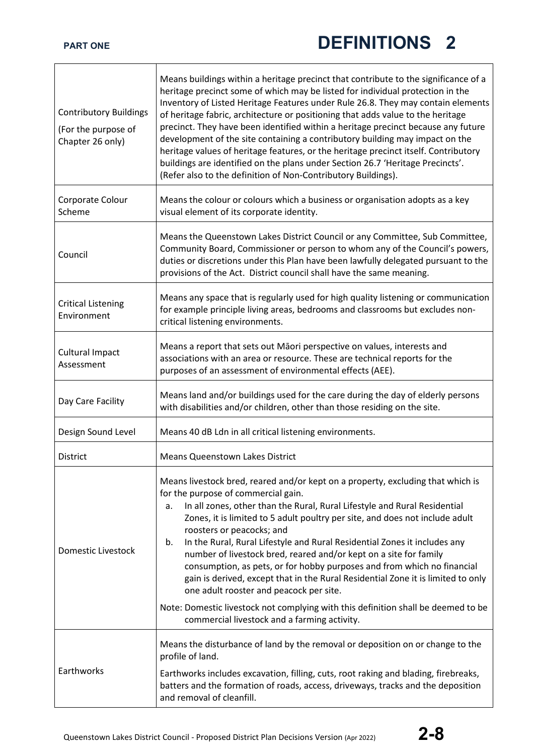| <b>Contributory Buildings</b><br>(For the purpose of<br>Chapter 26 only) | Means buildings within a heritage precinct that contribute to the significance of a<br>heritage precinct some of which may be listed for individual protection in the<br>Inventory of Listed Heritage Features under Rule 26.8. They may contain elements<br>of heritage fabric, architecture or positioning that adds value to the heritage<br>precinct. They have been identified within a heritage precinct because any future<br>development of the site containing a contributory building may impact on the<br>heritage values of heritage features, or the heritage precinct itself. Contributory<br>buildings are identified on the plans under Section 26.7 'Heritage Precincts'.<br>(Refer also to the definition of Non-Contributory Buildings).                                                                   |
|--------------------------------------------------------------------------|-------------------------------------------------------------------------------------------------------------------------------------------------------------------------------------------------------------------------------------------------------------------------------------------------------------------------------------------------------------------------------------------------------------------------------------------------------------------------------------------------------------------------------------------------------------------------------------------------------------------------------------------------------------------------------------------------------------------------------------------------------------------------------------------------------------------------------|
| Corporate Colour<br>Scheme                                               | Means the colour or colours which a business or organisation adopts as a key<br>visual element of its corporate identity.                                                                                                                                                                                                                                                                                                                                                                                                                                                                                                                                                                                                                                                                                                     |
| Council                                                                  | Means the Queenstown Lakes District Council or any Committee, Sub Committee,<br>Community Board, Commissioner or person to whom any of the Council's powers,<br>duties or discretions under this Plan have been lawfully delegated pursuant to the<br>provisions of the Act. District council shall have the same meaning.                                                                                                                                                                                                                                                                                                                                                                                                                                                                                                    |
| <b>Critical Listening</b><br>Environment                                 | Means any space that is regularly used for high quality listening or communication<br>for example principle living areas, bedrooms and classrooms but excludes non-<br>critical listening environments.                                                                                                                                                                                                                                                                                                                                                                                                                                                                                                                                                                                                                       |
| <b>Cultural Impact</b><br>Assessment                                     | Means a report that sets out Māori perspective on values, interests and<br>associations with an area or resource. These are technical reports for the<br>purposes of an assessment of environmental effects (AEE).                                                                                                                                                                                                                                                                                                                                                                                                                                                                                                                                                                                                            |
| Day Care Facility                                                        | Means land and/or buildings used for the care during the day of elderly persons<br>with disabilities and/or children, other than those residing on the site.                                                                                                                                                                                                                                                                                                                                                                                                                                                                                                                                                                                                                                                                  |
| Design Sound Level                                                       | Means 40 dB Ldn in all critical listening environments.                                                                                                                                                                                                                                                                                                                                                                                                                                                                                                                                                                                                                                                                                                                                                                       |
| <b>District</b>                                                          | <b>Means Queenstown Lakes District</b>                                                                                                                                                                                                                                                                                                                                                                                                                                                                                                                                                                                                                                                                                                                                                                                        |
| Domestic Livestock                                                       | Means livestock bred, reared and/or kept on a property, excluding that which is<br>for the purpose of commercial gain.<br>In all zones, other than the Rural, Rural Lifestyle and Rural Residential<br>a.<br>Zones, it is limited to 5 adult poultry per site, and does not include adult<br>roosters or peacocks; and<br>In the Rural, Rural Lifestyle and Rural Residential Zones it includes any<br>b.<br>number of livestock bred, reared and/or kept on a site for family<br>consumption, as pets, or for hobby purposes and from which no financial<br>gain is derived, except that in the Rural Residential Zone it is limited to only<br>one adult rooster and peacock per site.<br>Note: Domestic livestock not complying with this definition shall be deemed to be<br>commercial livestock and a farming activity. |
| Earthworks                                                               | Means the disturbance of land by the removal or deposition on or change to the<br>profile of land.<br>Earthworks includes excavation, filling, cuts, root raking and blading, firebreaks,<br>batters and the formation of roads, access, driveways, tracks and the deposition<br>and removal of cleanfill.                                                                                                                                                                                                                                                                                                                                                                                                                                                                                                                    |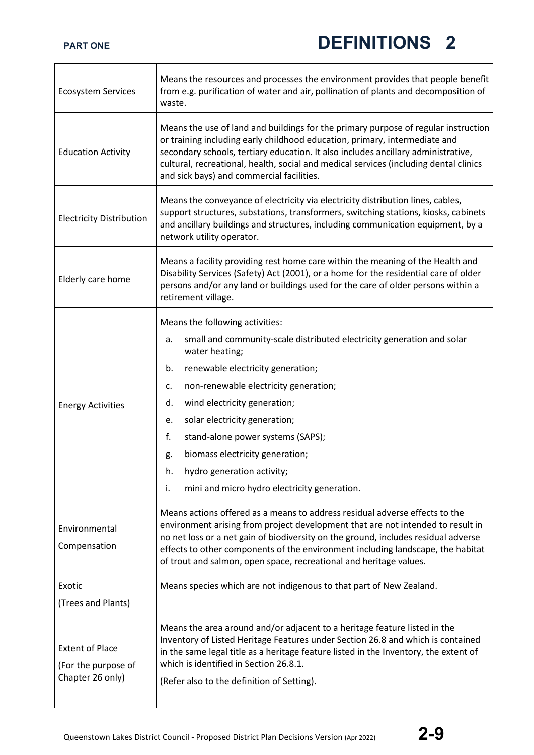| <b>Ecosystem Services</b>                                         | Means the resources and processes the environment provides that people benefit<br>from e.g. purification of water and air, pollination of plants and decomposition of<br>waste.                                                                                                                                                                                                                                                                                                        |
|-------------------------------------------------------------------|----------------------------------------------------------------------------------------------------------------------------------------------------------------------------------------------------------------------------------------------------------------------------------------------------------------------------------------------------------------------------------------------------------------------------------------------------------------------------------------|
| <b>Education Activity</b>                                         | Means the use of land and buildings for the primary purpose of regular instruction<br>or training including early childhood education, primary, intermediate and<br>secondary schools, tertiary education. It also includes ancillary administrative,<br>cultural, recreational, health, social and medical services (including dental clinics<br>and sick bays) and commercial facilities.                                                                                            |
| <b>Electricity Distribution</b>                                   | Means the conveyance of electricity via electricity distribution lines, cables,<br>support structures, substations, transformers, switching stations, kiosks, cabinets<br>and ancillary buildings and structures, including communication equipment, by a<br>network utility operator.                                                                                                                                                                                                 |
| Elderly care home                                                 | Means a facility providing rest home care within the meaning of the Health and<br>Disability Services (Safety) Act (2001), or a home for the residential care of older<br>persons and/or any land or buildings used for the care of older persons within a<br>retirement village.                                                                                                                                                                                                      |
| <b>Energy Activities</b>                                          | Means the following activities:<br>small and community-scale distributed electricity generation and solar<br>a.<br>water heating;<br>b.<br>renewable electricity generation;<br>non-renewable electricity generation;<br>c.<br>wind electricity generation;<br>d.<br>solar electricity generation;<br>e.<br>f.<br>stand-alone power systems (SAPS);<br>biomass electricity generation;<br>g.<br>h.<br>hydro generation activity;<br>i.<br>mini and micro hydro electricity generation. |
| Environmental<br>Compensation                                     | Means actions offered as a means to address residual adverse effects to the<br>environment arising from project development that are not intended to result in<br>no net loss or a net gain of biodiversity on the ground, includes residual adverse<br>effects to other components of the environment including landscape, the habitat<br>of trout and salmon, open space, recreational and heritage values.                                                                          |
| Exotic<br>(Trees and Plants)                                      | Means species which are not indigenous to that part of New Zealand.                                                                                                                                                                                                                                                                                                                                                                                                                    |
| <b>Extent of Place</b><br>(For the purpose of<br>Chapter 26 only) | Means the area around and/or adjacent to a heritage feature listed in the<br>Inventory of Listed Heritage Features under Section 26.8 and which is contained<br>in the same legal title as a heritage feature listed in the Inventory, the extent of<br>which is identified in Section 26.8.1.<br>(Refer also to the definition of Setting).                                                                                                                                           |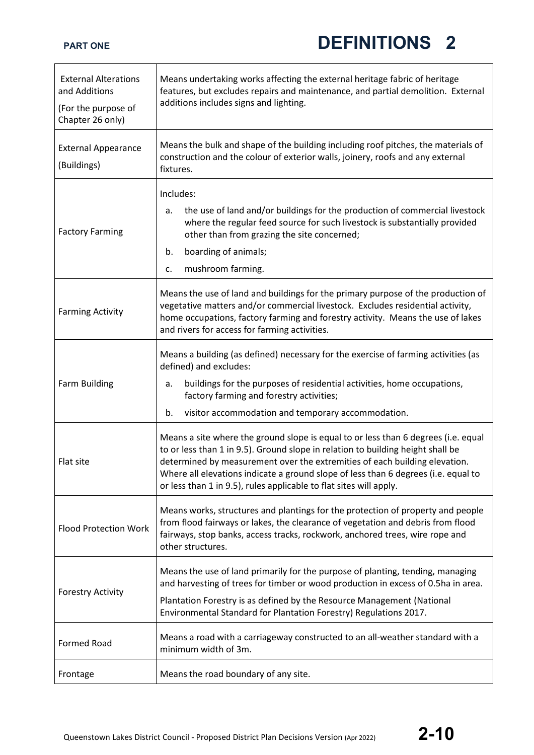| <b>External Alterations</b><br>and Additions<br>(For the purpose of<br>Chapter 26 only) | Means undertaking works affecting the external heritage fabric of heritage<br>features, but excludes repairs and maintenance, and partial demolition. External<br>additions includes signs and lighting.                                                                                                                                                                                                        |
|-----------------------------------------------------------------------------------------|-----------------------------------------------------------------------------------------------------------------------------------------------------------------------------------------------------------------------------------------------------------------------------------------------------------------------------------------------------------------------------------------------------------------|
| <b>External Appearance</b><br>(Buildings)                                               | Means the bulk and shape of the building including roof pitches, the materials of<br>construction and the colour of exterior walls, joinery, roofs and any external<br>fixtures.                                                                                                                                                                                                                                |
| <b>Factory Farming</b>                                                                  | Includes:<br>the use of land and/or buildings for the production of commercial livestock<br>a.<br>where the regular feed source for such livestock is substantially provided<br>other than from grazing the site concerned;<br>boarding of animals;<br>b.<br>mushroom farming.<br>c.                                                                                                                            |
| <b>Farming Activity</b>                                                                 | Means the use of land and buildings for the primary purpose of the production of<br>vegetative matters and/or commercial livestock. Excludes residential activity,<br>home occupations, factory farming and forestry activity. Means the use of lakes<br>and rivers for access for farming activities.                                                                                                          |
| <b>Farm Building</b>                                                                    | Means a building (as defined) necessary for the exercise of farming activities (as<br>defined) and excludes:<br>buildings for the purposes of residential activities, home occupations,<br>a.<br>factory farming and forestry activities;<br>visitor accommodation and temporary accommodation.<br>b.                                                                                                           |
| Flat site                                                                               | Means a site where the ground slope is equal to or less than 6 degrees (i.e. equal<br>to or less than 1 in 9.5). Ground slope in relation to building height shall be<br>determined by measurement over the extremities of each building elevation.<br>Where all elevations indicate a ground slope of less than 6 degrees (i.e. equal to<br>or less than 1 in 9.5), rules applicable to flat sites will apply. |
| <b>Flood Protection Work</b>                                                            | Means works, structures and plantings for the protection of property and people<br>from flood fairways or lakes, the clearance of vegetation and debris from flood<br>fairways, stop banks, access tracks, rockwork, anchored trees, wire rope and<br>other structures.                                                                                                                                         |
| <b>Forestry Activity</b>                                                                | Means the use of land primarily for the purpose of planting, tending, managing<br>and harvesting of trees for timber or wood production in excess of 0.5ha in area.<br>Plantation Forestry is as defined by the Resource Management (National<br>Environmental Standard for Plantation Forestry) Regulations 2017.                                                                                              |
| <b>Formed Road</b>                                                                      | Means a road with a carriageway constructed to an all-weather standard with a<br>minimum width of 3m.                                                                                                                                                                                                                                                                                                           |
| Frontage                                                                                | Means the road boundary of any site.                                                                                                                                                                                                                                                                                                                                                                            |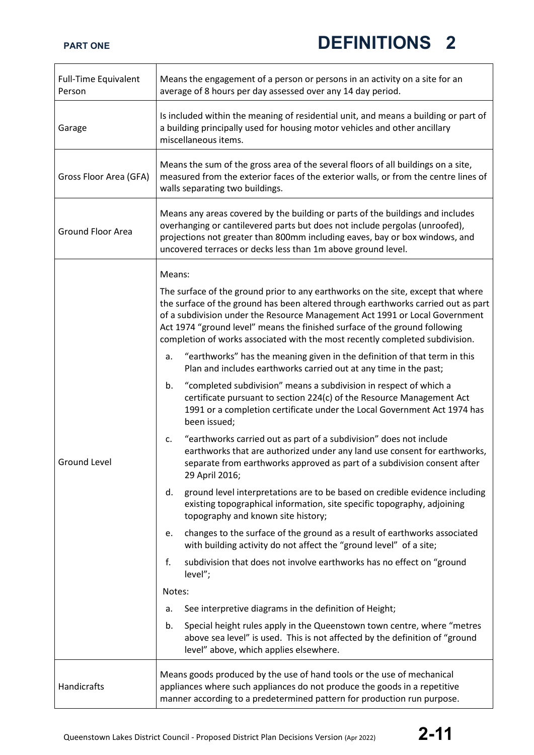| <b>Full-Time Equivalent</b><br>Person | Means the engagement of a person or persons in an activity on a site for an<br>average of 8 hours per day assessed over any 14 day period.                                                                                                                                                                                                                                                                         |
|---------------------------------------|--------------------------------------------------------------------------------------------------------------------------------------------------------------------------------------------------------------------------------------------------------------------------------------------------------------------------------------------------------------------------------------------------------------------|
| Garage                                | Is included within the meaning of residential unit, and means a building or part of<br>a building principally used for housing motor vehicles and other ancillary<br>miscellaneous items.                                                                                                                                                                                                                          |
| Gross Floor Area (GFA)                | Means the sum of the gross area of the several floors of all buildings on a site,<br>measured from the exterior faces of the exterior walls, or from the centre lines of<br>walls separating two buildings.                                                                                                                                                                                                        |
| <b>Ground Floor Area</b>              | Means any areas covered by the building or parts of the buildings and includes<br>overhanging or cantilevered parts but does not include pergolas (unroofed),<br>projections not greater than 800mm including eaves, bay or box windows, and<br>uncovered terraces or decks less than 1m above ground level.                                                                                                       |
|                                       | Means:                                                                                                                                                                                                                                                                                                                                                                                                             |
|                                       | The surface of the ground prior to any earthworks on the site, except that where<br>the surface of the ground has been altered through earthworks carried out as part<br>of a subdivision under the Resource Management Act 1991 or Local Government<br>Act 1974 "ground level" means the finished surface of the ground following<br>completion of works associated with the most recently completed subdivision. |
|                                       | "earthworks" has the meaning given in the definition of that term in this<br>a.<br>Plan and includes earthworks carried out at any time in the past;                                                                                                                                                                                                                                                               |
| Ground Level                          | "completed subdivision" means a subdivision in respect of which a<br>b.<br>certificate pursuant to section 224(c) of the Resource Management Act<br>1991 or a completion certificate under the Local Government Act 1974 has<br>been issued;                                                                                                                                                                       |
|                                       | "earthworks carried out as part of a subdivision" does not include<br>c.<br>earthworks that are authorized under any land use consent for earthworks,<br>separate from earthworks approved as part of a subdivision consent after<br>29 April 2016;                                                                                                                                                                |
|                                       | ground level interpretations are to be based on credible evidence including<br>d.<br>existing topographical information, site specific topography, adjoining<br>topography and known site history;                                                                                                                                                                                                                 |
|                                       | changes to the surface of the ground as a result of earthworks associated<br>e.<br>with building activity do not affect the "ground level" of a site;                                                                                                                                                                                                                                                              |
|                                       | f.<br>subdivision that does not involve earthworks has no effect on "ground<br>level";                                                                                                                                                                                                                                                                                                                             |
|                                       | Notes:                                                                                                                                                                                                                                                                                                                                                                                                             |
|                                       | See interpretive diagrams in the definition of Height;<br>a.                                                                                                                                                                                                                                                                                                                                                       |
|                                       | Special height rules apply in the Queenstown town centre, where "metres<br>b.<br>above sea level" is used. This is not affected by the definition of "ground<br>level" above, which applies elsewhere.                                                                                                                                                                                                             |
| Handicrafts                           | Means goods produced by the use of hand tools or the use of mechanical<br>appliances where such appliances do not produce the goods in a repetitive<br>manner according to a predetermined pattern for production run purpose.                                                                                                                                                                                     |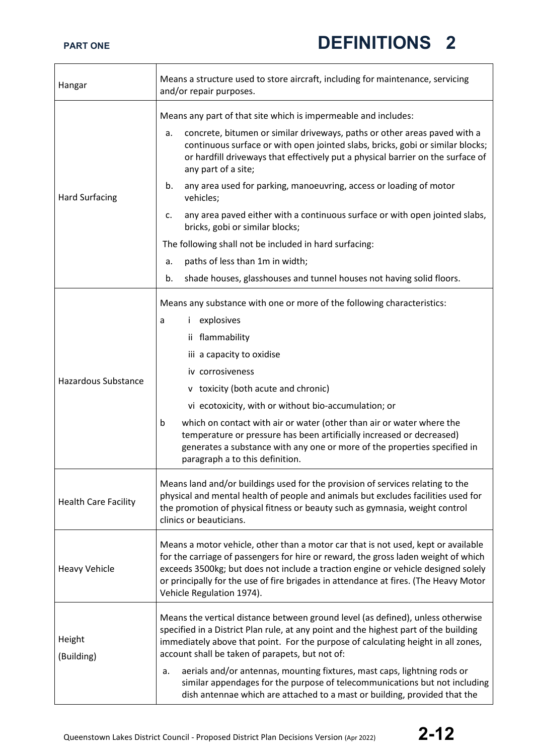| Hangar                      | Means a structure used to store aircraft, including for maintenance, servicing<br>and/or repair purposes.                                                                                                                                                                                                                                                                                         |
|-----------------------------|---------------------------------------------------------------------------------------------------------------------------------------------------------------------------------------------------------------------------------------------------------------------------------------------------------------------------------------------------------------------------------------------------|
| <b>Hard Surfacing</b>       | Means any part of that site which is impermeable and includes:                                                                                                                                                                                                                                                                                                                                    |
|                             | concrete, bitumen or similar driveways, paths or other areas paved with a<br>а.<br>continuous surface or with open jointed slabs, bricks, gobi or similar blocks;<br>or hardfill driveways that effectively put a physical barrier on the surface of<br>any part of a site;                                                                                                                       |
|                             | any area used for parking, manoeuvring, access or loading of motor<br>b.<br>vehicles;                                                                                                                                                                                                                                                                                                             |
|                             | any area paved either with a continuous surface or with open jointed slabs,<br>c.<br>bricks, gobi or similar blocks;                                                                                                                                                                                                                                                                              |
|                             | The following shall not be included in hard surfacing:                                                                                                                                                                                                                                                                                                                                            |
|                             | paths of less than 1m in width;<br>а.                                                                                                                                                                                                                                                                                                                                                             |
|                             | shade houses, glasshouses and tunnel houses not having solid floors.<br>b.                                                                                                                                                                                                                                                                                                                        |
|                             | Means any substance with one or more of the following characteristics:                                                                                                                                                                                                                                                                                                                            |
|                             | <i>i</i> explosives<br>a                                                                                                                                                                                                                                                                                                                                                                          |
|                             | ii flammability                                                                                                                                                                                                                                                                                                                                                                                   |
|                             | iii a capacity to oxidise                                                                                                                                                                                                                                                                                                                                                                         |
|                             | iv corrosiveness                                                                                                                                                                                                                                                                                                                                                                                  |
| <b>Hazardous Substance</b>  | v toxicity (both acute and chronic)                                                                                                                                                                                                                                                                                                                                                               |
|                             | vi ecotoxicity, with or without bio-accumulation; or                                                                                                                                                                                                                                                                                                                                              |
|                             | which on contact with air or water (other than air or water where the<br>b<br>temperature or pressure has been artificially increased or decreased)<br>generates a substance with any one or more of the properties specified in<br>paragraph a to this definition.                                                                                                                               |
| <b>Health Care Facility</b> | Means land and/or buildings used for the provision of services relating to the<br>physical and mental health of people and animals but excludes facilities used for<br>the promotion of physical fitness or beauty such as gymnasia, weight control<br>clinics or beauticians.                                                                                                                    |
| <b>Heavy Vehicle</b>        | Means a motor vehicle, other than a motor car that is not used, kept or available<br>for the carriage of passengers for hire or reward, the gross laden weight of which<br>exceeds 3500kg; but does not include a traction engine or vehicle designed solely<br>or principally for the use of fire brigades in attendance at fires. (The Heavy Motor<br>Vehicle Regulation 1974).                 |
| Height<br>(Building)        | Means the vertical distance between ground level (as defined), unless otherwise<br>specified in a District Plan rule, at any point and the highest part of the building<br>immediately above that point. For the purpose of calculating height in all zones,<br>account shall be taken of parapets, but not of:<br>aerials and/or antennas, mounting fixtures, mast caps, lightning rods or<br>а. |
|                             | similar appendages for the purpose of telecommunications but not including<br>dish antennae which are attached to a mast or building, provided that the                                                                                                                                                                                                                                           |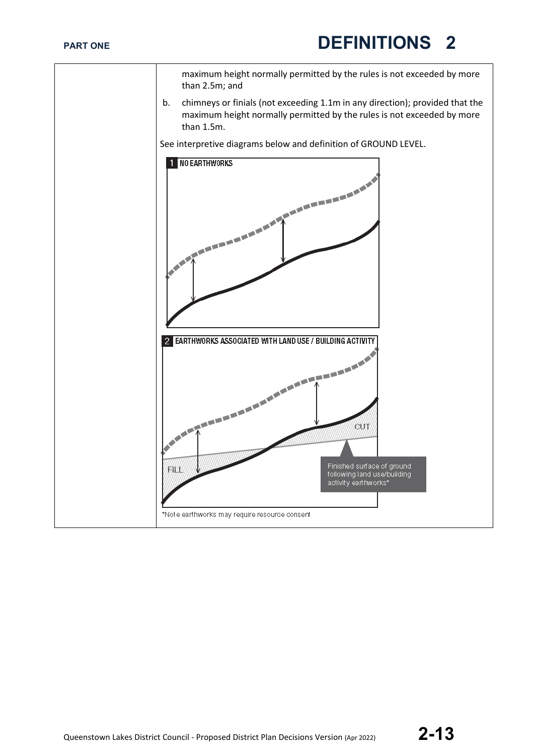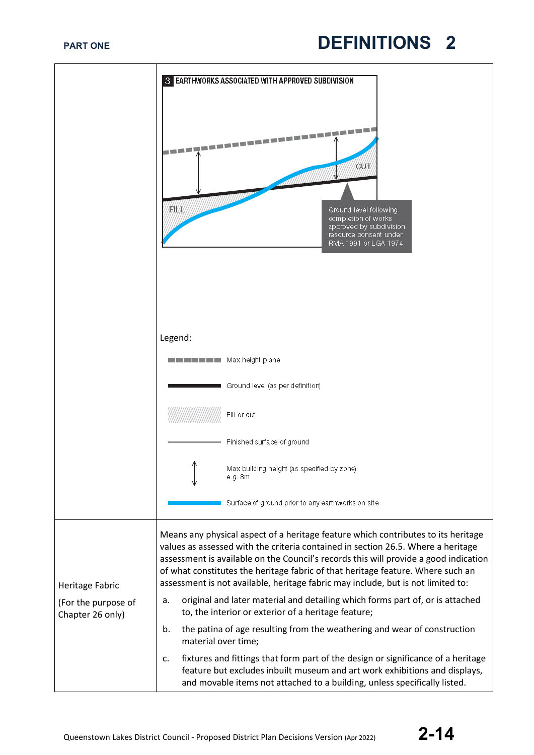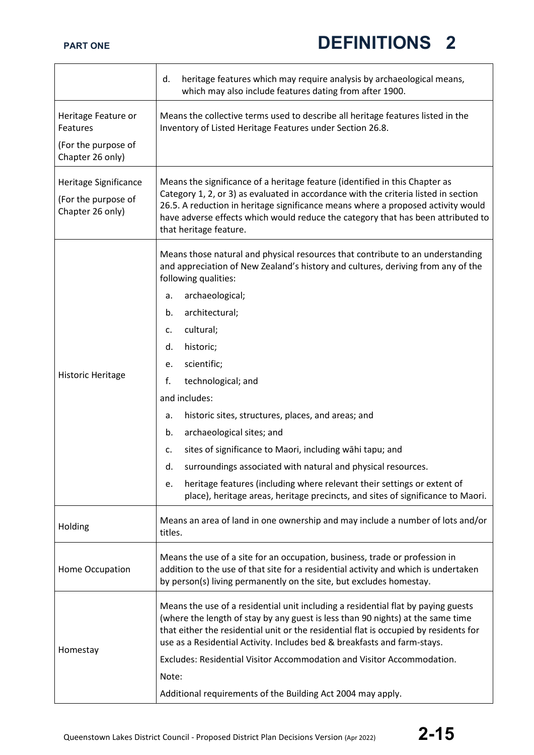|                                                                            | heritage features which may require analysis by archaeological means,<br>d.<br>which may also include features dating from after 1900.                                                                                                                                                                                                                                                                                                                                                                                                                                                                                                                                                                                                                         |
|----------------------------------------------------------------------------|----------------------------------------------------------------------------------------------------------------------------------------------------------------------------------------------------------------------------------------------------------------------------------------------------------------------------------------------------------------------------------------------------------------------------------------------------------------------------------------------------------------------------------------------------------------------------------------------------------------------------------------------------------------------------------------------------------------------------------------------------------------|
| Heritage Feature or<br>Features<br>(For the purpose of<br>Chapter 26 only) | Means the collective terms used to describe all heritage features listed in the<br>Inventory of Listed Heritage Features under Section 26.8.                                                                                                                                                                                                                                                                                                                                                                                                                                                                                                                                                                                                                   |
| Heritage Significance<br>(For the purpose of<br>Chapter 26 only)           | Means the significance of a heritage feature (identified in this Chapter as<br>Category 1, 2, or 3) as evaluated in accordance with the criteria listed in section<br>26.5. A reduction in heritage significance means where a proposed activity would<br>have adverse effects which would reduce the category that has been attributed to<br>that heritage feature.                                                                                                                                                                                                                                                                                                                                                                                           |
| <b>Historic Heritage</b>                                                   | Means those natural and physical resources that contribute to an understanding<br>and appreciation of New Zealand's history and cultures, deriving from any of the<br>following qualities:<br>archaeological;<br>a.<br>architectural;<br>b.<br>cultural;<br>c.<br>historic;<br>d.<br>scientific;<br>e.<br>f.<br>technological; and<br>and includes:<br>historic sites, structures, places, and areas; and<br>a.<br>archaeological sites; and<br>b.<br>sites of significance to Maori, including wāhi tapu; and<br>c.<br>surroundings associated with natural and physical resources.<br>d.<br>heritage features (including where relevant their settings or extent of<br>е.<br>place), heritage areas, heritage precincts, and sites of significance to Maori. |
| Holding                                                                    | Means an area of land in one ownership and may include a number of lots and/or<br>titles.                                                                                                                                                                                                                                                                                                                                                                                                                                                                                                                                                                                                                                                                      |
| Home Occupation                                                            | Means the use of a site for an occupation, business, trade or profession in<br>addition to the use of that site for a residential activity and which is undertaken<br>by person(s) living permanently on the site, but excludes homestay.                                                                                                                                                                                                                                                                                                                                                                                                                                                                                                                      |
| Homestay                                                                   | Means the use of a residential unit including a residential flat by paying guests<br>(where the length of stay by any guest is less than 90 nights) at the same time<br>that either the residential unit or the residential flat is occupied by residents for<br>use as a Residential Activity. Includes bed & breakfasts and farm-stays.<br>Excludes: Residential Visitor Accommodation and Visitor Accommodation.<br>Note:<br>Additional requirements of the Building Act 2004 may apply.                                                                                                                                                                                                                                                                    |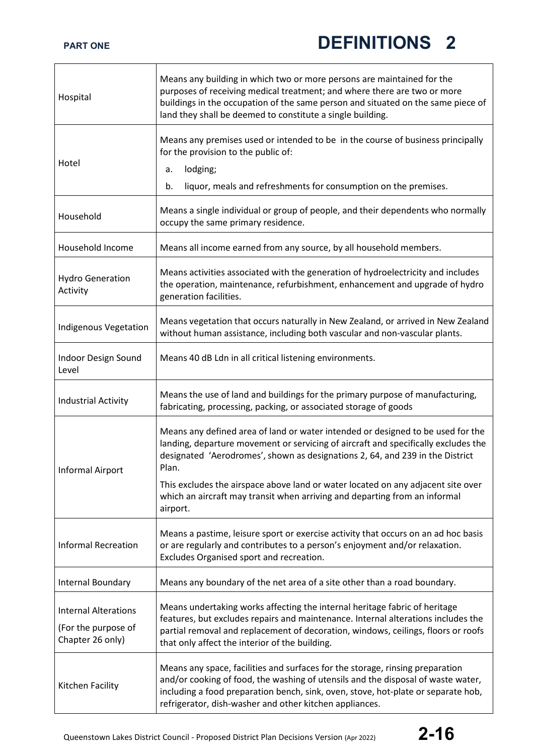| Hospital                                                               | Means any building in which two or more persons are maintained for the<br>purposes of receiving medical treatment; and where there are two or more<br>buildings in the occupation of the same person and situated on the same piece of<br>land they shall be deemed to constitute a single building.              |
|------------------------------------------------------------------------|-------------------------------------------------------------------------------------------------------------------------------------------------------------------------------------------------------------------------------------------------------------------------------------------------------------------|
| Hotel                                                                  | Means any premises used or intended to be in the course of business principally<br>for the provision to the public of:<br>lodging;<br>a.<br>liquor, meals and refreshments for consumption on the premises.<br>b.                                                                                                 |
| Household                                                              | Means a single individual or group of people, and their dependents who normally<br>occupy the same primary residence.                                                                                                                                                                                             |
| Household Income                                                       | Means all income earned from any source, by all household members.                                                                                                                                                                                                                                                |
| <b>Hydro Generation</b><br>Activity                                    | Means activities associated with the generation of hydroelectricity and includes<br>the operation, maintenance, refurbishment, enhancement and upgrade of hydro<br>generation facilities.                                                                                                                         |
| <b>Indigenous Vegetation</b>                                           | Means vegetation that occurs naturally in New Zealand, or arrived in New Zealand<br>without human assistance, including both vascular and non-vascular plants.                                                                                                                                                    |
| Indoor Design Sound<br>Level                                           | Means 40 dB Ldn in all critical listening environments.                                                                                                                                                                                                                                                           |
| <b>Industrial Activity</b>                                             | Means the use of land and buildings for the primary purpose of manufacturing,<br>fabricating, processing, packing, or associated storage of goods                                                                                                                                                                 |
| Informal Airport                                                       | Means any defined area of land or water intended or designed to be used for the<br>landing, departure movement or servicing of aircraft and specifically excludes the<br>designated 'Aerodromes', shown as designations 2, 64, and 239 in the District<br>Plan.                                                   |
|                                                                        | This excludes the airspace above land or water located on any adjacent site over<br>which an aircraft may transit when arriving and departing from an informal<br>airport.                                                                                                                                        |
| <b>Informal Recreation</b>                                             | Means a pastime, leisure sport or exercise activity that occurs on an ad hoc basis<br>or are regularly and contributes to a person's enjoyment and/or relaxation.<br>Excludes Organised sport and recreation.                                                                                                     |
| Internal Boundary                                                      | Means any boundary of the net area of a site other than a road boundary.                                                                                                                                                                                                                                          |
| <b>Internal Alterations</b><br>(For the purpose of<br>Chapter 26 only) | Means undertaking works affecting the internal heritage fabric of heritage<br>features, but excludes repairs and maintenance. Internal alterations includes the<br>partial removal and replacement of decoration, windows, ceilings, floors or roofs<br>that only affect the interior of the building.            |
| Kitchen Facility                                                       | Means any space, facilities and surfaces for the storage, rinsing preparation<br>and/or cooking of food, the washing of utensils and the disposal of waste water,<br>including a food preparation bench, sink, oven, stove, hot-plate or separate hob,<br>refrigerator, dish-washer and other kitchen appliances. |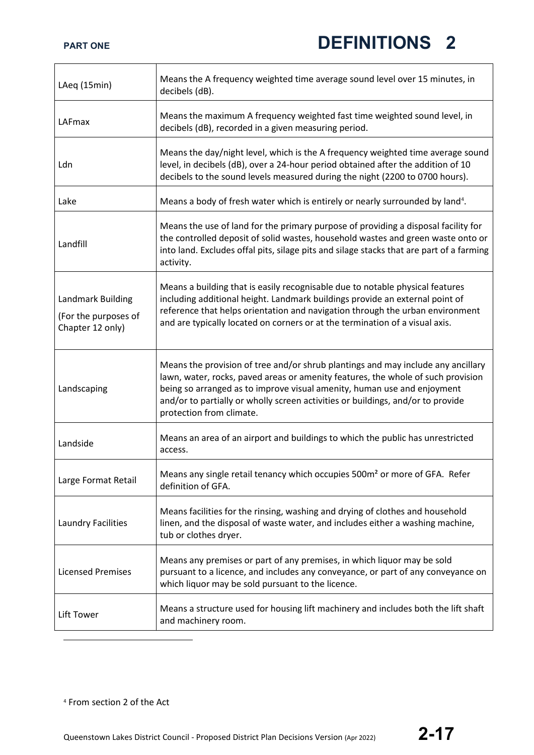<span id="page-16-0"></span>

| LAeq (15min)                                                  | Means the A frequency weighted time average sound level over 15 minutes, in<br>decibels (dB).                                                                                                                                                                                                                                                                  |
|---------------------------------------------------------------|----------------------------------------------------------------------------------------------------------------------------------------------------------------------------------------------------------------------------------------------------------------------------------------------------------------------------------------------------------------|
| LAFmax                                                        | Means the maximum A frequency weighted fast time weighted sound level, in<br>decibels (dB), recorded in a given measuring period.                                                                                                                                                                                                                              |
| Ldn                                                           | Means the day/night level, which is the A frequency weighted time average sound<br>level, in decibels (dB), over a 24-hour period obtained after the addition of 10<br>decibels to the sound levels measured during the night (2200 to 0700 hours).                                                                                                            |
| Lake                                                          | Means a body of fresh water which is entirely or nearly surrounded by land <sup>4</sup> .                                                                                                                                                                                                                                                                      |
| Landfill                                                      | Means the use of land for the primary purpose of providing a disposal facility for<br>the controlled deposit of solid wastes, household wastes and green waste onto or<br>into land. Excludes offal pits, silage pits and silage stacks that are part of a farming<br>activity.                                                                                |
| Landmark Building<br>(For the purposes of<br>Chapter 12 only) | Means a building that is easily recognisable due to notable physical features<br>including additional height. Landmark buildings provide an external point of<br>reference that helps orientation and navigation through the urban environment<br>and are typically located on corners or at the termination of a visual axis.                                 |
| Landscaping                                                   | Means the provision of tree and/or shrub plantings and may include any ancillary<br>lawn, water, rocks, paved areas or amenity features, the whole of such provision<br>being so arranged as to improve visual amenity, human use and enjoyment<br>and/or to partially or wholly screen activities or buildings, and/or to provide<br>protection from climate. |
| Landside                                                      | Means an area of an airport and buildings to which the public has unrestricted<br>access.                                                                                                                                                                                                                                                                      |
| Large Format Retail                                           | Means any single retail tenancy which occupies 500m <sup>2</sup> or more of GFA. Refer<br>definition of GFA.                                                                                                                                                                                                                                                   |
| Laundry Facilities                                            | Means facilities for the rinsing, washing and drying of clothes and household<br>linen, and the disposal of waste water, and includes either a washing machine,<br>tub or clothes dryer.                                                                                                                                                                       |
| <b>Licensed Premises</b>                                      | Means any premises or part of any premises, in which liquor may be sold<br>pursuant to a licence, and includes any conveyance, or part of any conveyance on<br>which liquor may be sold pursuant to the licence.                                                                                                                                               |
| Lift Tower                                                    | Means a structure used for housing lift machinery and includes both the lift shaft<br>and machinery room.                                                                                                                                                                                                                                                      |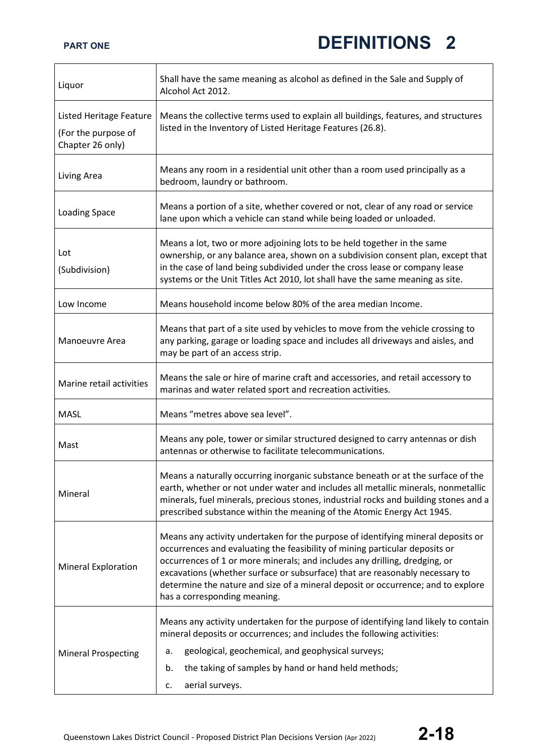| Liquor                                                             | Shall have the same meaning as alcohol as defined in the Sale and Supply of<br>Alcohol Act 2012.                                                                                                                                                                                                                                                                                                                                                  |
|--------------------------------------------------------------------|---------------------------------------------------------------------------------------------------------------------------------------------------------------------------------------------------------------------------------------------------------------------------------------------------------------------------------------------------------------------------------------------------------------------------------------------------|
| Listed Heritage Feature<br>(For the purpose of<br>Chapter 26 only) | Means the collective terms used to explain all buildings, features, and structures<br>listed in the Inventory of Listed Heritage Features (26.8).                                                                                                                                                                                                                                                                                                 |
| Living Area                                                        | Means any room in a residential unit other than a room used principally as a<br>bedroom, laundry or bathroom.                                                                                                                                                                                                                                                                                                                                     |
| <b>Loading Space</b>                                               | Means a portion of a site, whether covered or not, clear of any road or service<br>lane upon which a vehicle can stand while being loaded or unloaded.                                                                                                                                                                                                                                                                                            |
| Lot<br>(Subdivision)                                               | Means a lot, two or more adjoining lots to be held together in the same<br>ownership, or any balance area, shown on a subdivision consent plan, except that<br>in the case of land being subdivided under the cross lease or company lease<br>systems or the Unit Titles Act 2010, lot shall have the same meaning as site.                                                                                                                       |
| Low Income                                                         | Means household income below 80% of the area median Income.                                                                                                                                                                                                                                                                                                                                                                                       |
| Manoeuvre Area                                                     | Means that part of a site used by vehicles to move from the vehicle crossing to<br>any parking, garage or loading space and includes all driveways and aisles, and<br>may be part of an access strip.                                                                                                                                                                                                                                             |
| Marine retail activities                                           | Means the sale or hire of marine craft and accessories, and retail accessory to<br>marinas and water related sport and recreation activities.                                                                                                                                                                                                                                                                                                     |
| <b>MASL</b>                                                        | Means "metres above sea level".                                                                                                                                                                                                                                                                                                                                                                                                                   |
| Mast                                                               | Means any pole, tower or similar structured designed to carry antennas or dish<br>antennas or otherwise to facilitate telecommunications.                                                                                                                                                                                                                                                                                                         |
| Mineral                                                            | Means a naturally occurring inorganic substance beneath or at the surface of the<br>earth, whether or not under water and includes all metallic minerals, nonmetallic<br>minerals, fuel minerals, precious stones, industrial rocks and building stones and a<br>prescribed substance within the meaning of the Atomic Energy Act 1945.                                                                                                           |
| <b>Mineral Exploration</b>                                         | Means any activity undertaken for the purpose of identifying mineral deposits or<br>occurrences and evaluating the feasibility of mining particular deposits or<br>occurrences of 1 or more minerals; and includes any drilling, dredging, or<br>excavations (whether surface or subsurface) that are reasonably necessary to<br>determine the nature and size of a mineral deposit or occurrence; and to explore<br>has a corresponding meaning. |
| <b>Mineral Prospecting</b>                                         | Means any activity undertaken for the purpose of identifying land likely to contain<br>mineral deposits or occurrences; and includes the following activities:<br>geological, geochemical, and geophysical surveys;<br>а.<br>the taking of samples by hand or hand held methods;<br>b.<br>aerial surveys.<br>c.                                                                                                                                   |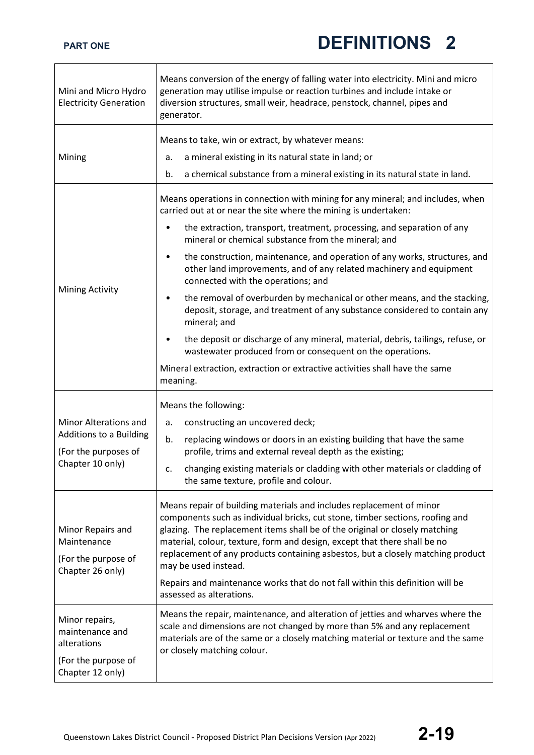┑

| Mini and Micro Hydro<br><b>Electricity Generation</b>                                        | Means conversion of the energy of falling water into electricity. Mini and micro<br>generation may utilise impulse or reaction turbines and include intake or<br>diversion structures, small weir, headrace, penstock, channel, pipes and<br>generator.                                                                                                                                                                                                                                                                                   |
|----------------------------------------------------------------------------------------------|-------------------------------------------------------------------------------------------------------------------------------------------------------------------------------------------------------------------------------------------------------------------------------------------------------------------------------------------------------------------------------------------------------------------------------------------------------------------------------------------------------------------------------------------|
| Mining                                                                                       | Means to take, win or extract, by whatever means:<br>a mineral existing in its natural state in land; or<br>a.<br>b.<br>a chemical substance from a mineral existing in its natural state in land.                                                                                                                                                                                                                                                                                                                                        |
|                                                                                              | Means operations in connection with mining for any mineral; and includes, when<br>carried out at or near the site where the mining is undertaken:<br>the extraction, transport, treatment, processing, and separation of any<br>$\bullet$<br>mineral or chemical substance from the mineral; and                                                                                                                                                                                                                                          |
|                                                                                              | the construction, maintenance, and operation of any works, structures, and<br>$\bullet$<br>other land improvements, and of any related machinery and equipment<br>connected with the operations; and                                                                                                                                                                                                                                                                                                                                      |
| Mining Activity                                                                              | the removal of overburden by mechanical or other means, and the stacking,<br>$\bullet$<br>deposit, storage, and treatment of any substance considered to contain any<br>mineral; and                                                                                                                                                                                                                                                                                                                                                      |
|                                                                                              | the deposit or discharge of any mineral, material, debris, tailings, refuse, or<br>$\bullet$<br>wastewater produced from or consequent on the operations.                                                                                                                                                                                                                                                                                                                                                                                 |
|                                                                                              | Mineral extraction, extraction or extractive activities shall have the same<br>meaning.                                                                                                                                                                                                                                                                                                                                                                                                                                                   |
| Minor Alterations and<br>Additions to a Building<br>(For the purposes of<br>Chapter 10 only) | Means the following:<br>constructing an uncovered deck;<br>a.<br>replacing windows or doors in an existing building that have the same<br>b.<br>profile, trims and external reveal depth as the existing;                                                                                                                                                                                                                                                                                                                                 |
|                                                                                              | changing existing materials or cladding with other materials or cladding of<br>c.<br>the same texture, profile and colour.                                                                                                                                                                                                                                                                                                                                                                                                                |
| Minor Repairs and<br>Maintenance<br>(For the purpose of<br>Chapter 26 only)                  | Means repair of building materials and includes replacement of minor<br>components such as individual bricks, cut stone, timber sections, roofing and<br>glazing. The replacement items shall be of the original or closely matching<br>material, colour, texture, form and design, except that there shall be no<br>replacement of any products containing asbestos, but a closely matching product<br>may be used instead.<br>Repairs and maintenance works that do not fall within this definition will be<br>assessed as alterations. |
| Minor repairs,<br>maintenance and<br>alterations<br>(For the purpose of<br>Chapter 12 only)  | Means the repair, maintenance, and alteration of jetties and wharves where the<br>scale and dimensions are not changed by more than 5% and any replacement<br>materials are of the same or a closely matching material or texture and the same<br>or closely matching colour.                                                                                                                                                                                                                                                             |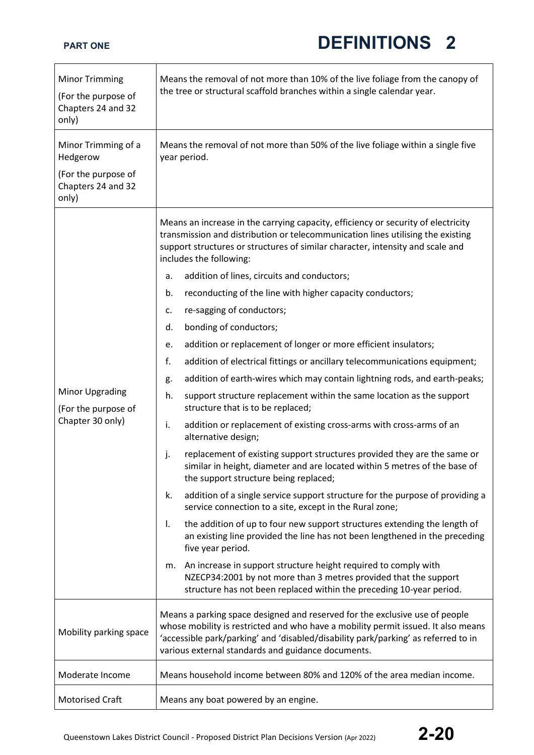| <b>Minor Trimming</b><br>(For the purpose of<br>Chapters 24 and 32<br>only) | Means the removal of not more than 10% of the live foliage from the canopy of<br>the tree or structural scaffold branches within a single calendar year.                                                                                                                                                     |
|-----------------------------------------------------------------------------|--------------------------------------------------------------------------------------------------------------------------------------------------------------------------------------------------------------------------------------------------------------------------------------------------------------|
| Minor Trimming of a<br>Hedgerow                                             | Means the removal of not more than 50% of the live foliage within a single five<br>year period.                                                                                                                                                                                                              |
| (For the purpose of<br>Chapters 24 and 32<br>only)                          |                                                                                                                                                                                                                                                                                                              |
|                                                                             | Means an increase in the carrying capacity, efficiency or security of electricity<br>transmission and distribution or telecommunication lines utilising the existing<br>support structures or structures of similar character, intensity and scale and<br>includes the following:                            |
|                                                                             | addition of lines, circuits and conductors;<br>a.                                                                                                                                                                                                                                                            |
|                                                                             | reconducting of the line with higher capacity conductors;<br>b.                                                                                                                                                                                                                                              |
|                                                                             | re-sagging of conductors;<br>c.                                                                                                                                                                                                                                                                              |
|                                                                             | bonding of conductors;<br>d.                                                                                                                                                                                                                                                                                 |
|                                                                             | addition or replacement of longer or more efficient insulators;<br>e.                                                                                                                                                                                                                                        |
|                                                                             | f.<br>addition of electrical fittings or ancillary telecommunications equipment;                                                                                                                                                                                                                             |
|                                                                             | addition of earth-wires which may contain lightning rods, and earth-peaks;<br>g.                                                                                                                                                                                                                             |
| <b>Minor Upgrading</b><br>(For the purpose of                               | support structure replacement within the same location as the support<br>h.<br>structure that is to be replaced;                                                                                                                                                                                             |
| Chapter 30 only)                                                            | addition or replacement of existing cross-arms with cross-arms of an<br>i.<br>alternative design;                                                                                                                                                                                                            |
|                                                                             | replacement of existing support structures provided they are the same or<br>j.<br>similar in height, diameter and are located within 5 metres of the base of<br>the support structure being replaced;                                                                                                        |
|                                                                             | addition of a single service support structure for the purpose of providing a<br>k.<br>service connection to a site, except in the Rural zone;                                                                                                                                                               |
|                                                                             | the addition of up to four new support structures extending the length of<br>Ι.<br>an existing line provided the line has not been lengthened in the preceding<br>five year period.                                                                                                                          |
|                                                                             | An increase in support structure height required to comply with<br>m.<br>NZECP34:2001 by not more than 3 metres provided that the support<br>structure has not been replaced within the preceding 10-year period.                                                                                            |
| Mobility parking space                                                      | Means a parking space designed and reserved for the exclusive use of people<br>whose mobility is restricted and who have a mobility permit issued. It also means<br>'accessible park/parking' and 'disabled/disability park/parking' as referred to in<br>various external standards and guidance documents. |
| Moderate Income                                                             | Means household income between 80% and 120% of the area median income.                                                                                                                                                                                                                                       |
| <b>Motorised Craft</b>                                                      | Means any boat powered by an engine.                                                                                                                                                                                                                                                                         |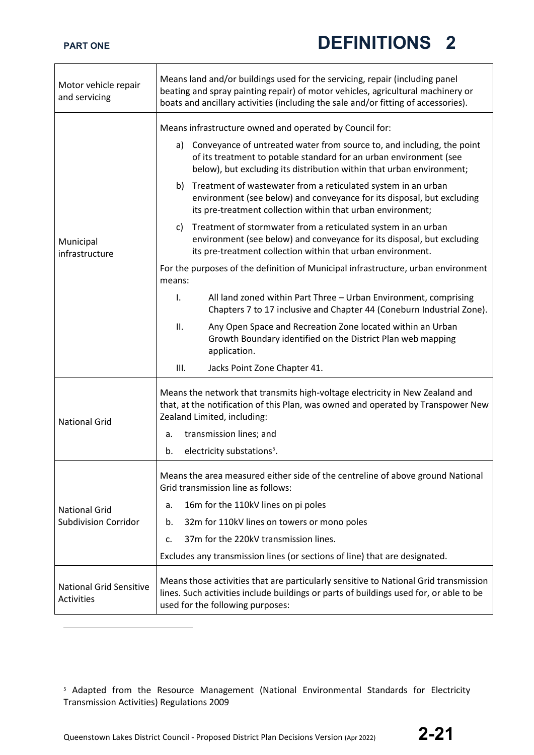٦

| Motor vehicle repair<br>and servicing               | Means land and/or buildings used for the servicing, repair (including panel<br>beating and spray painting repair) of motor vehicles, agricultural machinery or<br>boats and ancillary activities (including the sale and/or fitting of accessories).                                   |
|-----------------------------------------------------|----------------------------------------------------------------------------------------------------------------------------------------------------------------------------------------------------------------------------------------------------------------------------------------|
| Municipal<br>infrastructure                         | Means infrastructure owned and operated by Council for:<br>Conveyance of untreated water from source to, and including, the point<br>a)<br>of its treatment to potable standard for an urban environment (see<br>below), but excluding its distribution within that urban environment; |
|                                                     | b) Treatment of wastewater from a reticulated system in an urban<br>environment (see below) and conveyance for its disposal, but excluding<br>its pre-treatment collection within that urban environment;                                                                              |
|                                                     | Treatment of stormwater from a reticulated system in an urban<br>C)<br>environment (see below) and conveyance for its disposal, but excluding<br>its pre-treatment collection within that urban environment.                                                                           |
|                                                     | For the purposes of the definition of Municipal infrastructure, urban environment<br>means:                                                                                                                                                                                            |
|                                                     | All land zoned within Part Three - Urban Environment, comprising<br>I.<br>Chapters 7 to 17 inclusive and Chapter 44 (Coneburn Industrial Zone).                                                                                                                                        |
|                                                     | Any Open Space and Recreation Zone located within an Urban<br>ΙΙ.<br>Growth Boundary identified on the District Plan web mapping<br>application.                                                                                                                                       |
|                                                     | Ш.<br>Jacks Point Zone Chapter 41.                                                                                                                                                                                                                                                     |
| <b>National Grid</b>                                | Means the network that transmits high-voltage electricity in New Zealand and<br>that, at the notification of this Plan, was owned and operated by Transpower New<br>Zealand Limited, including:                                                                                        |
|                                                     | transmission lines; and<br>a.                                                                                                                                                                                                                                                          |
|                                                     | electricity substations <sup>5</sup> .<br>b.                                                                                                                                                                                                                                           |
| <b>National Grid</b><br><b>Subdivision Corridor</b> | Means the area measured either side of the centreline of above ground National<br>Grid transmission line as follows:                                                                                                                                                                   |
|                                                     | 16m for the 110kV lines on pi poles<br>а.                                                                                                                                                                                                                                              |
|                                                     | 32m for 110kV lines on towers or mono poles<br>b.                                                                                                                                                                                                                                      |
|                                                     | 37m for the 220kV transmission lines.<br>c.                                                                                                                                                                                                                                            |
|                                                     | Excludes any transmission lines (or sections of line) that are designated.                                                                                                                                                                                                             |
| <b>National Grid Sensitive</b><br>Activities        | Means those activities that are particularly sensitive to National Grid transmission<br>lines. Such activities include buildings or parts of buildings used for, or able to be<br>used for the following purposes:                                                                     |

Queenstown Lakes District Council - Proposed District Plan Decisions Version (Apr 2022) **2-21**

<span id="page-20-0"></span><sup>5</sup> Adapted from the Resource Management (National Environmental Standards for Electricity Transmission Activities) Regulations 2009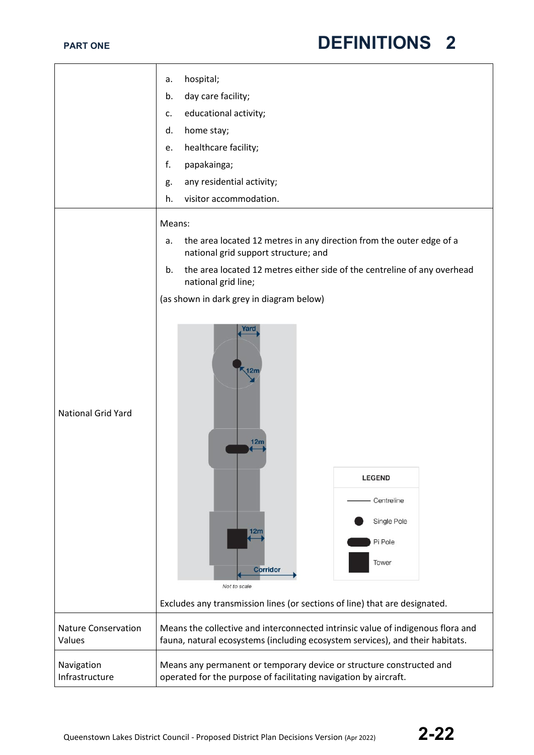|                                      | hospital;<br>a.                                                                                                                                                  |
|--------------------------------------|------------------------------------------------------------------------------------------------------------------------------------------------------------------|
|                                      | day care facility;<br>b.                                                                                                                                         |
|                                      | educational activity;<br>c.                                                                                                                                      |
|                                      | home stay;<br>d.                                                                                                                                                 |
|                                      | healthcare facility;<br>e.                                                                                                                                       |
|                                      | f.<br>papakainga;                                                                                                                                                |
|                                      | any residential activity;<br>g.                                                                                                                                  |
|                                      | visitor accommodation.<br>h.                                                                                                                                     |
|                                      |                                                                                                                                                                  |
|                                      | Means:                                                                                                                                                           |
|                                      | the area located 12 metres in any direction from the outer edge of a<br>a.<br>national grid support structure; and                                               |
|                                      | the area located 12 metres either side of the centreline of any overhead<br>b.<br>national grid line;                                                            |
|                                      | (as shown in dark grey in diagram below)                                                                                                                         |
| <b>National Grid Yard</b>            | rarc<br>$\sqrt{12m}$<br>12 <sub>m</sub>                                                                                                                          |
|                                      | <b>LEGEND</b>                                                                                                                                                    |
|                                      | Centreline                                                                                                                                                       |
|                                      | Single Pole                                                                                                                                                      |
|                                      | 12n                                                                                                                                                              |
|                                      | Pi Pole                                                                                                                                                          |
|                                      | Tower<br><b>Corridor</b>                                                                                                                                         |
|                                      | Not to scale                                                                                                                                                     |
|                                      | Excludes any transmission lines (or sections of line) that are designated.                                                                                       |
| <b>Nature Conservation</b><br>Values | Means the collective and interconnected intrinsic value of indigenous flora and<br>fauna, natural ecosystems (including ecosystem services), and their habitats. |
| Navigation<br>Infrastructure         | Means any permanent or temporary device or structure constructed and<br>operated for the purpose of facilitating navigation by aircraft.                         |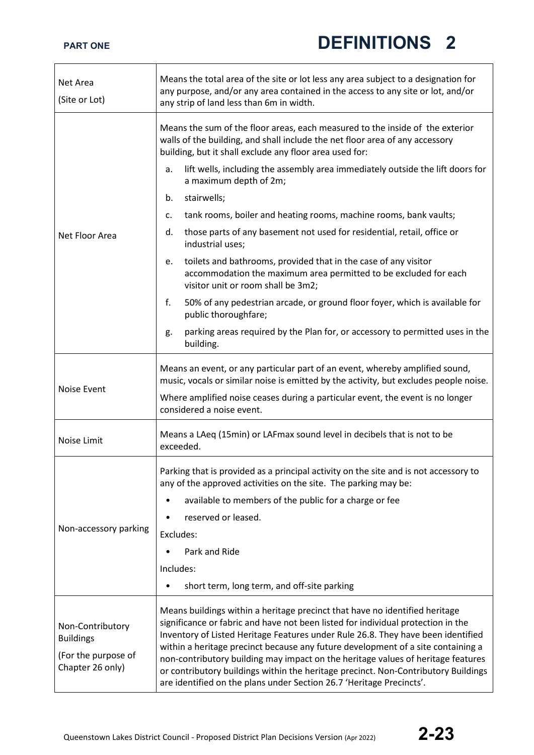| Net Area<br>(Site or Lot)                                                       | Means the total area of the site or lot less any area subject to a designation for<br>any purpose, and/or any area contained in the access to any site or lot, and/or<br>any strip of land less than 6m in width.                                                                                                                                                                                                                                                                                                                                                                         |
|---------------------------------------------------------------------------------|-------------------------------------------------------------------------------------------------------------------------------------------------------------------------------------------------------------------------------------------------------------------------------------------------------------------------------------------------------------------------------------------------------------------------------------------------------------------------------------------------------------------------------------------------------------------------------------------|
|                                                                                 | Means the sum of the floor areas, each measured to the inside of the exterior<br>walls of the building, and shall include the net floor area of any accessory<br>building, but it shall exclude any floor area used for:                                                                                                                                                                                                                                                                                                                                                                  |
|                                                                                 | lift wells, including the assembly area immediately outside the lift doors for<br>a.<br>a maximum depth of 2m;                                                                                                                                                                                                                                                                                                                                                                                                                                                                            |
|                                                                                 | stairwells;<br>b.                                                                                                                                                                                                                                                                                                                                                                                                                                                                                                                                                                         |
|                                                                                 | tank rooms, boiler and heating rooms, machine rooms, bank vaults;<br>c.                                                                                                                                                                                                                                                                                                                                                                                                                                                                                                                   |
| Net Floor Area                                                                  | those parts of any basement not used for residential, retail, office or<br>d.<br>industrial uses;                                                                                                                                                                                                                                                                                                                                                                                                                                                                                         |
|                                                                                 | toilets and bathrooms, provided that in the case of any visitor<br>e.<br>accommodation the maximum area permitted to be excluded for each<br>visitor unit or room shall be 3m2;                                                                                                                                                                                                                                                                                                                                                                                                           |
|                                                                                 | f.<br>50% of any pedestrian arcade, or ground floor foyer, which is available for<br>public thoroughfare;                                                                                                                                                                                                                                                                                                                                                                                                                                                                                 |
|                                                                                 | parking areas required by the Plan for, or accessory to permitted uses in the<br>g.<br>building.                                                                                                                                                                                                                                                                                                                                                                                                                                                                                          |
| <b>Noise Event</b>                                                              | Means an event, or any particular part of an event, whereby amplified sound,<br>music, vocals or similar noise is emitted by the activity, but excludes people noise.<br>Where amplified noise ceases during a particular event, the event is no longer<br>considered a noise event.                                                                                                                                                                                                                                                                                                      |
| Noise Limit                                                                     | Means a LAeq (15min) or LAFmax sound level in decibels that is not to be<br>exceeded.                                                                                                                                                                                                                                                                                                                                                                                                                                                                                                     |
|                                                                                 | Parking that is provided as a principal activity on the site and is not accessory to<br>any of the approved activities on the site. The parking may be:                                                                                                                                                                                                                                                                                                                                                                                                                                   |
|                                                                                 | available to members of the public for a charge or fee                                                                                                                                                                                                                                                                                                                                                                                                                                                                                                                                    |
|                                                                                 | reserved or leased.                                                                                                                                                                                                                                                                                                                                                                                                                                                                                                                                                                       |
| Non-accessory parking                                                           | Excludes:                                                                                                                                                                                                                                                                                                                                                                                                                                                                                                                                                                                 |
|                                                                                 | Park and Ride                                                                                                                                                                                                                                                                                                                                                                                                                                                                                                                                                                             |
|                                                                                 | Includes:                                                                                                                                                                                                                                                                                                                                                                                                                                                                                                                                                                                 |
|                                                                                 | short term, long term, and off-site parking                                                                                                                                                                                                                                                                                                                                                                                                                                                                                                                                               |
| Non-Contributory<br><b>Buildings</b><br>(For the purpose of<br>Chapter 26 only) | Means buildings within a heritage precinct that have no identified heritage<br>significance or fabric and have not been listed for individual protection in the<br>Inventory of Listed Heritage Features under Rule 26.8. They have been identified<br>within a heritage precinct because any future development of a site containing a<br>non-contributory building may impact on the heritage values of heritage features<br>or contributory buildings within the heritage precinct. Non-Contributory Buildings<br>are identified on the plans under Section 26.7 'Heritage Precincts'. |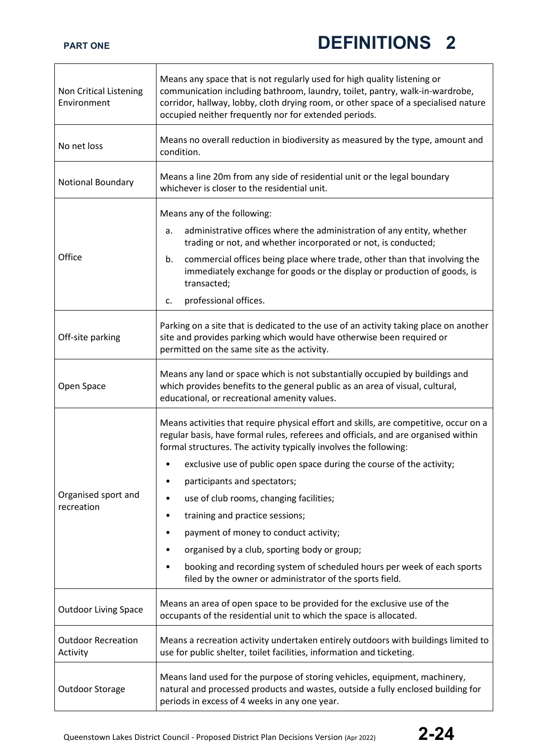| Non Critical Listening<br>Environment | Means any space that is not regularly used for high quality listening or<br>communication including bathroom, laundry, toilet, pantry, walk-in-wardrobe,<br>corridor, hallway, lobby, cloth drying room, or other space of a specialised nature<br>occupied neither frequently nor for extended periods.                                                                                                                                                                                                                                                                                                                                                                          |
|---------------------------------------|-----------------------------------------------------------------------------------------------------------------------------------------------------------------------------------------------------------------------------------------------------------------------------------------------------------------------------------------------------------------------------------------------------------------------------------------------------------------------------------------------------------------------------------------------------------------------------------------------------------------------------------------------------------------------------------|
| No net loss                           | Means no overall reduction in biodiversity as measured by the type, amount and<br>condition.                                                                                                                                                                                                                                                                                                                                                                                                                                                                                                                                                                                      |
| Notional Boundary                     | Means a line 20m from any side of residential unit or the legal boundary<br>whichever is closer to the residential unit.                                                                                                                                                                                                                                                                                                                                                                                                                                                                                                                                                          |
| Office                                | Means any of the following:<br>administrative offices where the administration of any entity, whether<br>a.<br>trading or not, and whether incorporated or not, is conducted;<br>commercial offices being place where trade, other than that involving the<br>b.<br>immediately exchange for goods or the display or production of goods, is<br>transacted;<br>professional offices.<br>c.                                                                                                                                                                                                                                                                                        |
| Off-site parking                      | Parking on a site that is dedicated to the use of an activity taking place on another<br>site and provides parking which would have otherwise been required or<br>permitted on the same site as the activity.                                                                                                                                                                                                                                                                                                                                                                                                                                                                     |
| Open Space                            | Means any land or space which is not substantially occupied by buildings and<br>which provides benefits to the general public as an area of visual, cultural,<br>educational, or recreational amenity values.                                                                                                                                                                                                                                                                                                                                                                                                                                                                     |
| Organised sport and<br>recreation     | Means activities that require physical effort and skills, are competitive, occur on a<br>regular basis, have formal rules, referees and officials, and are organised within<br>formal structures. The activity typically involves the following:<br>exclusive use of public open space during the course of the activity;<br>participants and spectators;<br>use of club rooms, changing facilities;<br>training and practice sessions;<br>٠<br>payment of money to conduct activity;<br>٠<br>organised by a club, sporting body or group;<br>booking and recording system of scheduled hours per week of each sports<br>filed by the owner or administrator of the sports field. |
| <b>Outdoor Living Space</b>           | Means an area of open space to be provided for the exclusive use of the<br>occupants of the residential unit to which the space is allocated.                                                                                                                                                                                                                                                                                                                                                                                                                                                                                                                                     |
| <b>Outdoor Recreation</b><br>Activity | Means a recreation activity undertaken entirely outdoors with buildings limited to<br>use for public shelter, toilet facilities, information and ticketing.                                                                                                                                                                                                                                                                                                                                                                                                                                                                                                                       |
| Outdoor Storage                       | Means land used for the purpose of storing vehicles, equipment, machinery,<br>natural and processed products and wastes, outside a fully enclosed building for<br>periods in excess of 4 weeks in any one year.                                                                                                                                                                                                                                                                                                                                                                                                                                                                   |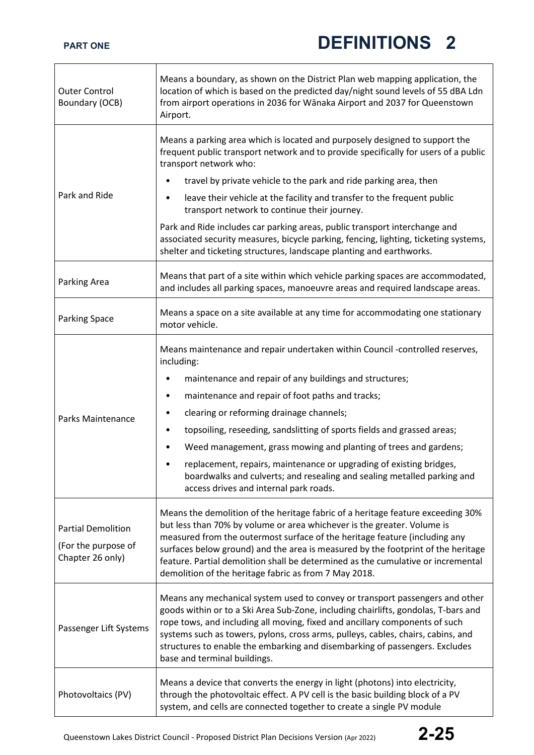| <b>Outer Control</b><br>Boundary (OCB)                               | Means a boundary, as shown on the District Plan web mapping application, the<br>location of which is based on the predicted day/night sound levels of 55 dBA Ldn<br>from airport operations in 2036 for Wānaka Airport and 2037 for Queenstown<br>Airport.                                                                                                                                                                                                                |
|----------------------------------------------------------------------|---------------------------------------------------------------------------------------------------------------------------------------------------------------------------------------------------------------------------------------------------------------------------------------------------------------------------------------------------------------------------------------------------------------------------------------------------------------------------|
|                                                                      | Means a parking area which is located and purposely designed to support the<br>frequent public transport network and to provide specifically for users of a public<br>transport network who:                                                                                                                                                                                                                                                                              |
|                                                                      | travel by private vehicle to the park and ride parking area, then<br>٠                                                                                                                                                                                                                                                                                                                                                                                                    |
| Park and Ride                                                        | leave their vehicle at the facility and transfer to the frequent public<br>٠<br>transport network to continue their journey.                                                                                                                                                                                                                                                                                                                                              |
|                                                                      | Park and Ride includes car parking areas, public transport interchange and<br>associated security measures, bicycle parking, fencing, lighting, ticketing systems,<br>shelter and ticketing structures, landscape planting and earthworks.                                                                                                                                                                                                                                |
| Parking Area                                                         | Means that part of a site within which vehicle parking spaces are accommodated,<br>and includes all parking spaces, manoeuvre areas and required landscape areas.                                                                                                                                                                                                                                                                                                         |
| <b>Parking Space</b>                                                 | Means a space on a site available at any time for accommodating one stationary<br>motor vehicle.                                                                                                                                                                                                                                                                                                                                                                          |
| Parks Maintenance                                                    | Means maintenance and repair undertaken within Council -controlled reserves,<br>including:<br>maintenance and repair of any buildings and structures;<br>٠<br>maintenance and repair of foot paths and tracks;<br>٠<br>clearing or reforming drainage channels;<br>٠<br>topsoiling, reseeding, sandslitting of sports fields and grassed areas;<br>$\bullet$<br>Weed management, grass mowing and planting of trees and gardens;                                          |
|                                                                      | replacement, repairs, maintenance or upgrading of existing bridges,<br>boardwalks and culverts; and resealing and sealing metalled parking and<br>access drives and internal park roads.                                                                                                                                                                                                                                                                                  |
| <b>Partial Demolition</b><br>(For the purpose of<br>Chapter 26 only) | Means the demolition of the heritage fabric of a heritage feature exceeding 30%<br>but less than 70% by volume or area whichever is the greater. Volume is<br>measured from the outermost surface of the heritage feature (including any<br>surfaces below ground) and the area is measured by the footprint of the heritage<br>feature. Partial demolition shall be determined as the cumulative or incremental<br>demolition of the heritage fabric as from 7 May 2018. |
| Passenger Lift Systems                                               | Means any mechanical system used to convey or transport passengers and other<br>goods within or to a Ski Area Sub-Zone, including chairlifts, gondolas, T-bars and<br>rope tows, and including all moving, fixed and ancillary components of such<br>systems such as towers, pylons, cross arms, pulleys, cables, chairs, cabins, and<br>structures to enable the embarking and disembarking of passengers. Excludes<br>base and terminal buildings.                      |
| Photovoltaics (PV)                                                   | Means a device that converts the energy in light (photons) into electricity,<br>through the photovoltaic effect. A PV cell is the basic building block of a PV<br>system, and cells are connected together to create a single PV module                                                                                                                                                                                                                                   |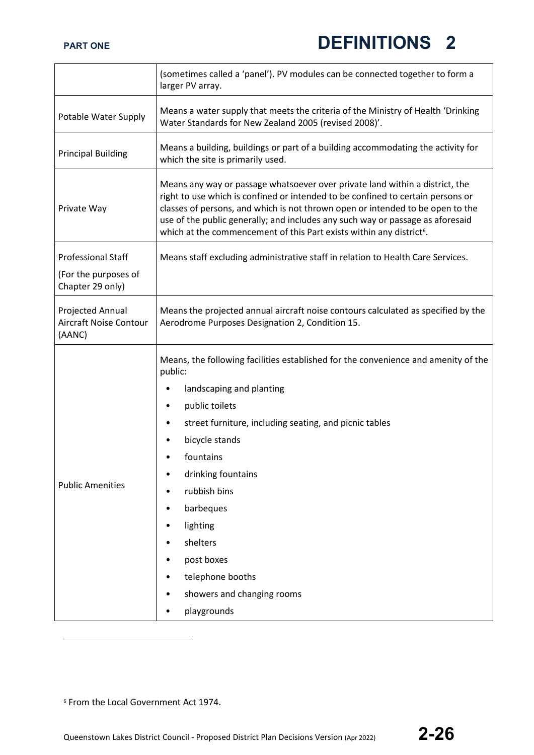|                                                      | (sometimes called a 'panel'). PV modules can be connected together to form a<br>larger PV array.                                                                                                                                                                                                                                                                                                                        |
|------------------------------------------------------|-------------------------------------------------------------------------------------------------------------------------------------------------------------------------------------------------------------------------------------------------------------------------------------------------------------------------------------------------------------------------------------------------------------------------|
| Potable Water Supply                                 | Means a water supply that meets the criteria of the Ministry of Health 'Drinking<br>Water Standards for New Zealand 2005 (revised 2008)'.                                                                                                                                                                                                                                                                               |
| <b>Principal Building</b>                            | Means a building, buildings or part of a building accommodating the activity for<br>which the site is primarily used.                                                                                                                                                                                                                                                                                                   |
| Private Way                                          | Means any way or passage whatsoever over private land within a district, the<br>right to use which is confined or intended to be confined to certain persons or<br>classes of persons, and which is not thrown open or intended to be open to the<br>use of the public generally; and includes any such way or passage as aforesaid<br>which at the commencement of this Part exists within any district <sup>6</sup> . |
| <b>Professional Staff</b>                            | Means staff excluding administrative staff in relation to Health Care Services.                                                                                                                                                                                                                                                                                                                                         |
| (For the purposes of<br>Chapter 29 only)             |                                                                                                                                                                                                                                                                                                                                                                                                                         |
| Projected Annual<br>Aircraft Noise Contour<br>(AANC) | Means the projected annual aircraft noise contours calculated as specified by the<br>Aerodrome Purposes Designation 2, Condition 15.                                                                                                                                                                                                                                                                                    |
| <b>Public Amenities</b>                              | Means, the following facilities established for the convenience and amenity of the<br>public:<br>landscaping and planting<br>public toilets<br>٠<br>street furniture, including seating, and picnic tables<br>٠<br>bicycle stands<br>fountains<br>drinking fountains<br>rubbish bins<br>barbeques<br>٠<br>lighting<br>٠<br>shelters<br>post boxes<br>telephone booths<br>showers and changing rooms<br>playgrounds      |

<span id="page-25-0"></span><sup>6</sup> From the Local Government Act 1974.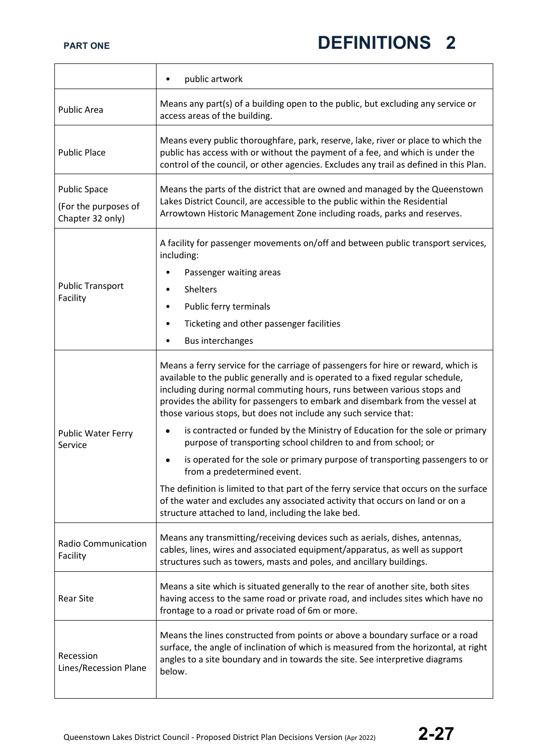|                                                                 | public artwork                                                                                                                                                                                                                                                                                                                                                                                                                                                                                                                                                                                                                                                                                                                                                                                                                                                                                          |
|-----------------------------------------------------------------|---------------------------------------------------------------------------------------------------------------------------------------------------------------------------------------------------------------------------------------------------------------------------------------------------------------------------------------------------------------------------------------------------------------------------------------------------------------------------------------------------------------------------------------------------------------------------------------------------------------------------------------------------------------------------------------------------------------------------------------------------------------------------------------------------------------------------------------------------------------------------------------------------------|
| <b>Public Area</b>                                              | Means any part(s) of a building open to the public, but excluding any service or<br>access areas of the building.                                                                                                                                                                                                                                                                                                                                                                                                                                                                                                                                                                                                                                                                                                                                                                                       |
| <b>Public Place</b>                                             | Means every public thoroughfare, park, reserve, lake, river or place to which the<br>public has access with or without the payment of a fee, and which is under the<br>control of the council, or other agencies. Excludes any trail as defined in this Plan.                                                                                                                                                                                                                                                                                                                                                                                                                                                                                                                                                                                                                                           |
| <b>Public Space</b><br>(For the purposes of<br>Chapter 32 only) | Means the parts of the district that are owned and managed by the Queenstown<br>Lakes District Council, are accessible to the public within the Residential<br>Arrowtown Historic Management Zone including roads, parks and reserves.                                                                                                                                                                                                                                                                                                                                                                                                                                                                                                                                                                                                                                                                  |
| <b>Public Transport</b><br>Facility                             | A facility for passenger movements on/off and between public transport services,<br>including:<br>Passenger waiting areas<br><b>Shelters</b><br>$\bullet$<br>Public ferry terminals<br>٠<br>Ticketing and other passenger facilities<br><b>Bus interchanges</b>                                                                                                                                                                                                                                                                                                                                                                                                                                                                                                                                                                                                                                         |
| <b>Public Water Ferry</b><br>Service                            | Means a ferry service for the carriage of passengers for hire or reward, which is<br>available to the public generally and is operated to a fixed regular schedule,<br>including during normal commuting hours, runs between various stops and<br>provides the ability for passengers to embark and disembark from the vessel at<br>those various stops, but does not include any such service that:<br>is contracted or funded by the Ministry of Education for the sole or primary<br>purpose of transporting school children to and from school; or<br>is operated for the sole or primary purpose of transporting passengers to or<br>from a predetermined event.<br>The definition is limited to that part of the ferry service that occurs on the surface<br>of the water and excludes any associated activity that occurs on land or on a<br>structure attached to land, including the lake bed. |
| <b>Radio Communication</b><br>Facility                          | Means any transmitting/receiving devices such as aerials, dishes, antennas,<br>cables, lines, wires and associated equipment/apparatus, as well as support<br>structures such as towers, masts and poles, and ancillary buildings.                                                                                                                                                                                                                                                                                                                                                                                                                                                                                                                                                                                                                                                                      |
| <b>Rear Site</b>                                                | Means a site which is situated generally to the rear of another site, both sites<br>having access to the same road or private road, and includes sites which have no<br>frontage to a road or private road of 6m or more.                                                                                                                                                                                                                                                                                                                                                                                                                                                                                                                                                                                                                                                                               |
| Recession<br>Lines/Recession Plane                              | Means the lines constructed from points or above a boundary surface or a road<br>surface, the angle of inclination of which is measured from the horizontal, at right<br>angles to a site boundary and in towards the site. See interpretive diagrams<br>below.                                                                                                                                                                                                                                                                                                                                                                                                                                                                                                                                                                                                                                         |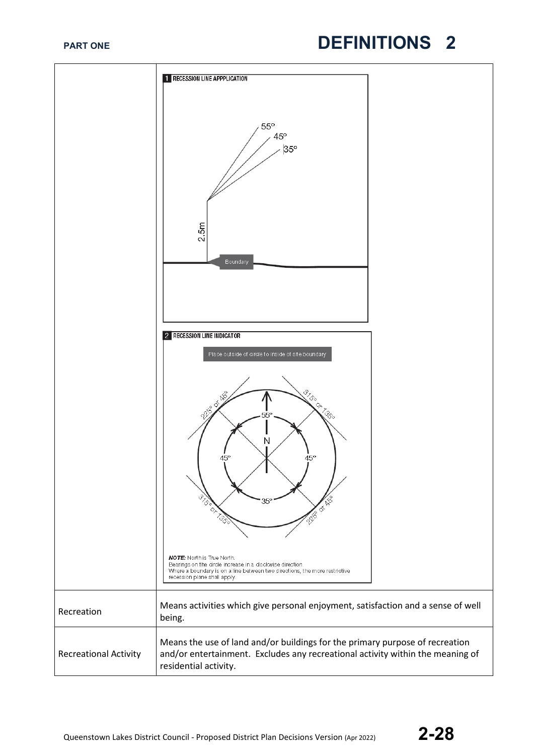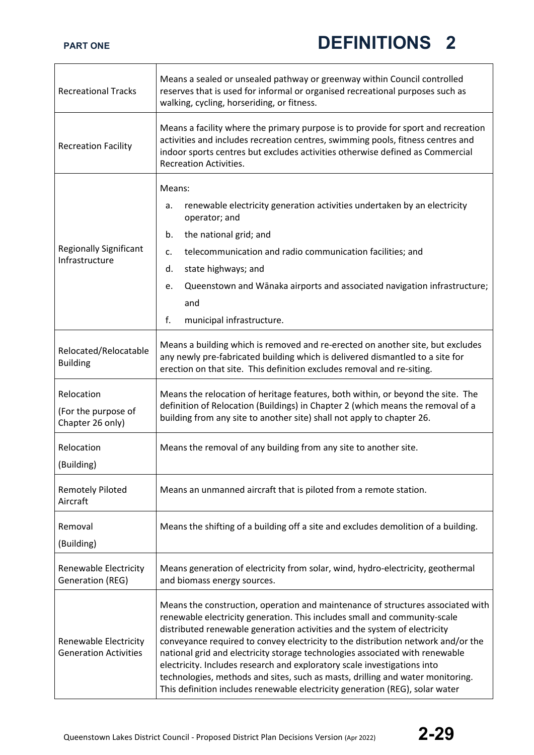| <b>Recreational Tracks</b>                            | Means a sealed or unsealed pathway or greenway within Council controlled<br>reserves that is used for informal or organised recreational purposes such as<br>walking, cycling, horseriding, or fitness.                                                                                                                                                                                                                                                                                                                                                                                                                                                     |
|-------------------------------------------------------|-------------------------------------------------------------------------------------------------------------------------------------------------------------------------------------------------------------------------------------------------------------------------------------------------------------------------------------------------------------------------------------------------------------------------------------------------------------------------------------------------------------------------------------------------------------------------------------------------------------------------------------------------------------|
| <b>Recreation Facility</b>                            | Means a facility where the primary purpose is to provide for sport and recreation<br>activities and includes recreation centres, swimming pools, fitness centres and<br>indoor sports centres but excludes activities otherwise defined as Commercial<br><b>Recreation Activities.</b>                                                                                                                                                                                                                                                                                                                                                                      |
|                                                       | Means:                                                                                                                                                                                                                                                                                                                                                                                                                                                                                                                                                                                                                                                      |
|                                                       | renewable electricity generation activities undertaken by an electricity<br>а.<br>operator; and                                                                                                                                                                                                                                                                                                                                                                                                                                                                                                                                                             |
|                                                       | the national grid; and<br>b.                                                                                                                                                                                                                                                                                                                                                                                                                                                                                                                                                                                                                                |
| <b>Regionally Significant</b><br>Infrastructure       | telecommunication and radio communication facilities; and<br>$\mathsf{C}$ .                                                                                                                                                                                                                                                                                                                                                                                                                                                                                                                                                                                 |
|                                                       | state highways; and<br>d.                                                                                                                                                                                                                                                                                                                                                                                                                                                                                                                                                                                                                                   |
|                                                       | Queenstown and Wānaka airports and associated navigation infrastructure;<br>e.                                                                                                                                                                                                                                                                                                                                                                                                                                                                                                                                                                              |
|                                                       | and                                                                                                                                                                                                                                                                                                                                                                                                                                                                                                                                                                                                                                                         |
|                                                       | f.<br>municipal infrastructure.                                                                                                                                                                                                                                                                                                                                                                                                                                                                                                                                                                                                                             |
| Relocated/Relocatable<br><b>Building</b>              | Means a building which is removed and re-erected on another site, but excludes<br>any newly pre-fabricated building which is delivered dismantled to a site for<br>erection on that site. This definition excludes removal and re-siting.                                                                                                                                                                                                                                                                                                                                                                                                                   |
| Relocation<br>(For the purpose of<br>Chapter 26 only) | Means the relocation of heritage features, both within, or beyond the site. The<br>definition of Relocation (Buildings) in Chapter 2 (which means the removal of a<br>building from any site to another site) shall not apply to chapter 26.                                                                                                                                                                                                                                                                                                                                                                                                                |
| Relocation<br>(Building)                              | Means the removal of any building from any site to another site.                                                                                                                                                                                                                                                                                                                                                                                                                                                                                                                                                                                            |
| <b>Remotely Piloted</b><br>Aircraft                   | Means an unmanned aircraft that is piloted from a remote station.                                                                                                                                                                                                                                                                                                                                                                                                                                                                                                                                                                                           |
| Removal<br>(Building)                                 | Means the shifting of a building off a site and excludes demolition of a building.                                                                                                                                                                                                                                                                                                                                                                                                                                                                                                                                                                          |
| Renewable Electricity<br>Generation (REG)             | Means generation of electricity from solar, wind, hydro-electricity, geothermal<br>and biomass energy sources.                                                                                                                                                                                                                                                                                                                                                                                                                                                                                                                                              |
| Renewable Electricity<br><b>Generation Activities</b> | Means the construction, operation and maintenance of structures associated with<br>renewable electricity generation. This includes small and community-scale<br>distributed renewable generation activities and the system of electricity<br>conveyance required to convey electricity to the distribution network and/or the<br>national grid and electricity storage technologies associated with renewable<br>electricity. Includes research and exploratory scale investigations into<br>technologies, methods and sites, such as masts, drilling and water monitoring.<br>This definition includes renewable electricity generation (REG), solar water |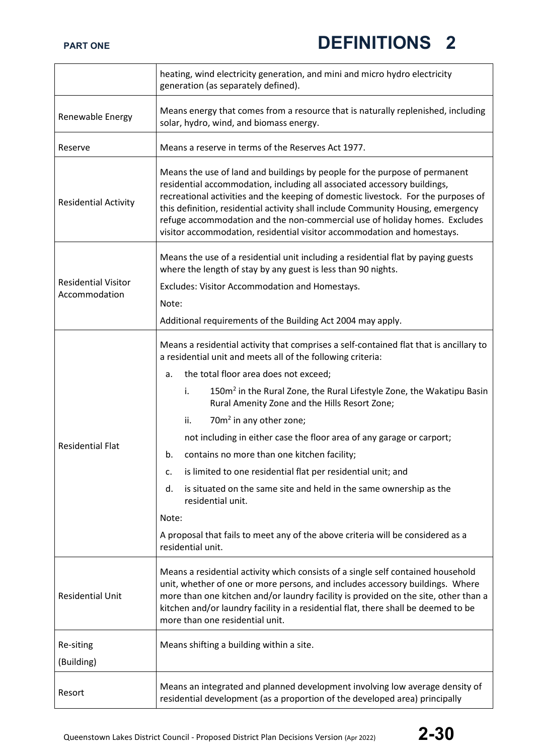|                                             | heating, wind electricity generation, and mini and micro hydro electricity<br>generation (as separately defined).                                                                                                                                                                                                                                                                                                                                                                         |
|---------------------------------------------|-------------------------------------------------------------------------------------------------------------------------------------------------------------------------------------------------------------------------------------------------------------------------------------------------------------------------------------------------------------------------------------------------------------------------------------------------------------------------------------------|
| Renewable Energy                            | Means energy that comes from a resource that is naturally replenished, including<br>solar, hydro, wind, and biomass energy.                                                                                                                                                                                                                                                                                                                                                               |
| Reserve                                     | Means a reserve in terms of the Reserves Act 1977.                                                                                                                                                                                                                                                                                                                                                                                                                                        |
| <b>Residential Activity</b>                 | Means the use of land and buildings by people for the purpose of permanent<br>residential accommodation, including all associated accessory buildings,<br>recreational activities and the keeping of domestic livestock. For the purposes of<br>this definition, residential activity shall include Community Housing, emergency<br>refuge accommodation and the non-commercial use of holiday homes. Excludes<br>visitor accommodation, residential visitor accommodation and homestays. |
|                                             | Means the use of a residential unit including a residential flat by paying guests<br>where the length of stay by any guest is less than 90 nights.                                                                                                                                                                                                                                                                                                                                        |
| <b>Residential Visitor</b><br>Accommodation | Excludes: Visitor Accommodation and Homestays.                                                                                                                                                                                                                                                                                                                                                                                                                                            |
|                                             | Note:                                                                                                                                                                                                                                                                                                                                                                                                                                                                                     |
|                                             | Additional requirements of the Building Act 2004 may apply.                                                                                                                                                                                                                                                                                                                                                                                                                               |
|                                             | Means a residential activity that comprises a self-contained flat that is ancillary to<br>a residential unit and meets all of the following criteria:                                                                                                                                                                                                                                                                                                                                     |
|                                             | the total floor area does not exceed;<br>a.                                                                                                                                                                                                                                                                                                                                                                                                                                               |
|                                             | 150m <sup>2</sup> in the Rural Zone, the Rural Lifestyle Zone, the Wakatipu Basin<br>i.<br>Rural Amenity Zone and the Hills Resort Zone;                                                                                                                                                                                                                                                                                                                                                  |
|                                             | 70m <sup>2</sup> in any other zone;<br>ii.                                                                                                                                                                                                                                                                                                                                                                                                                                                |
| <b>Residential Flat</b>                     | not including in either case the floor area of any garage or carport;                                                                                                                                                                                                                                                                                                                                                                                                                     |
|                                             | contains no more than one kitchen facility;<br>b.                                                                                                                                                                                                                                                                                                                                                                                                                                         |
|                                             | is limited to one residential flat per residential unit; and<br>c.                                                                                                                                                                                                                                                                                                                                                                                                                        |
|                                             | is situated on the same site and held in the same ownership as the<br>d.<br>residential unit.                                                                                                                                                                                                                                                                                                                                                                                             |
|                                             | Note:                                                                                                                                                                                                                                                                                                                                                                                                                                                                                     |
|                                             | A proposal that fails to meet any of the above criteria will be considered as a<br>residential unit.                                                                                                                                                                                                                                                                                                                                                                                      |
| <b>Residential Unit</b>                     | Means a residential activity which consists of a single self contained household<br>unit, whether of one or more persons, and includes accessory buildings. Where<br>more than one kitchen and/or laundry facility is provided on the site, other than a<br>kitchen and/or laundry facility in a residential flat, there shall be deemed to be<br>more than one residential unit.                                                                                                         |
| Re-siting                                   | Means shifting a building within a site.                                                                                                                                                                                                                                                                                                                                                                                                                                                  |
| (Building)                                  |                                                                                                                                                                                                                                                                                                                                                                                                                                                                                           |
| Resort                                      | Means an integrated and planned development involving low average density of<br>residential development (as a proportion of the developed area) principally                                                                                                                                                                                                                                                                                                                               |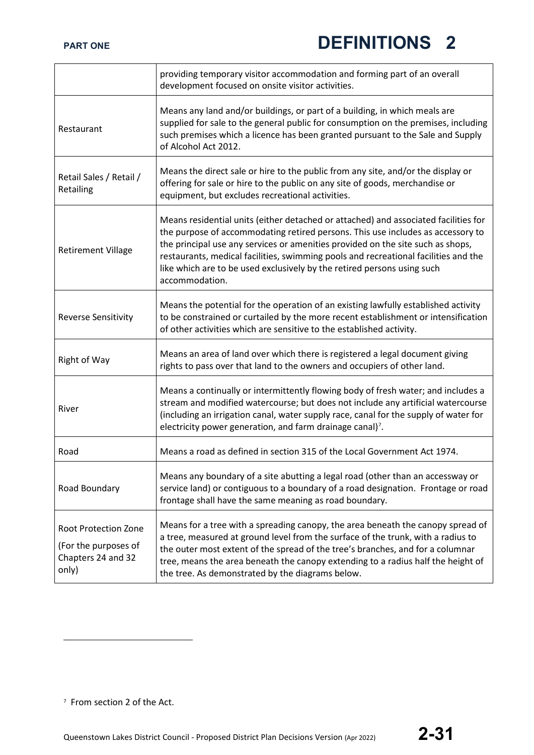|                                                                                    | providing temporary visitor accommodation and forming part of an overall<br>development focused on onsite visitor activities.                                                                                                                                                                                                                                                                                                                 |
|------------------------------------------------------------------------------------|-----------------------------------------------------------------------------------------------------------------------------------------------------------------------------------------------------------------------------------------------------------------------------------------------------------------------------------------------------------------------------------------------------------------------------------------------|
| Restaurant                                                                         | Means any land and/or buildings, or part of a building, in which meals are<br>supplied for sale to the general public for consumption on the premises, including<br>such premises which a licence has been granted pursuant to the Sale and Supply<br>of Alcohol Act 2012.                                                                                                                                                                    |
| Retail Sales / Retail /<br>Retailing                                               | Means the direct sale or hire to the public from any site, and/or the display or<br>offering for sale or hire to the public on any site of goods, merchandise or<br>equipment, but excludes recreational activities.                                                                                                                                                                                                                          |
| <b>Retirement Village</b>                                                          | Means residential units (either detached or attached) and associated facilities for<br>the purpose of accommodating retired persons. This use includes as accessory to<br>the principal use any services or amenities provided on the site such as shops,<br>restaurants, medical facilities, swimming pools and recreational facilities and the<br>like which are to be used exclusively by the retired persons using such<br>accommodation. |
| <b>Reverse Sensitivity</b>                                                         | Means the potential for the operation of an existing lawfully established activity<br>to be constrained or curtailed by the more recent establishment or intensification<br>of other activities which are sensitive to the established activity.                                                                                                                                                                                              |
| Right of Way                                                                       | Means an area of land over which there is registered a legal document giving<br>rights to pass over that land to the owners and occupiers of other land.                                                                                                                                                                                                                                                                                      |
| River                                                                              | Means a continually or intermittently flowing body of fresh water; and includes a<br>stream and modified watercourse; but does not include any artificial watercourse<br>(including an irrigation canal, water supply race, canal for the supply of water for<br>electricity power generation, and farm drainage canal) <sup>7</sup> .                                                                                                        |
| Road                                                                               | Means a road as defined in section 315 of the Local Government Act 1974.                                                                                                                                                                                                                                                                                                                                                                      |
| Road Boundary                                                                      | Means any boundary of a site abutting a legal road (other than an accessway or<br>service land) or contiguous to a boundary of a road designation. Frontage or road<br>frontage shall have the same meaning as road boundary.                                                                                                                                                                                                                 |
| <b>Root Protection Zone</b><br>(For the purposes of<br>Chapters 24 and 32<br>only) | Means for a tree with a spreading canopy, the area beneath the canopy spread of<br>a tree, measured at ground level from the surface of the trunk, with a radius to<br>the outer most extent of the spread of the tree's branches, and for a columnar<br>tree, means the area beneath the canopy extending to a radius half the height of<br>the tree. As demonstrated by the diagrams below.                                                 |

<span id="page-30-0"></span><sup>7</sup> From section 2 of the Act.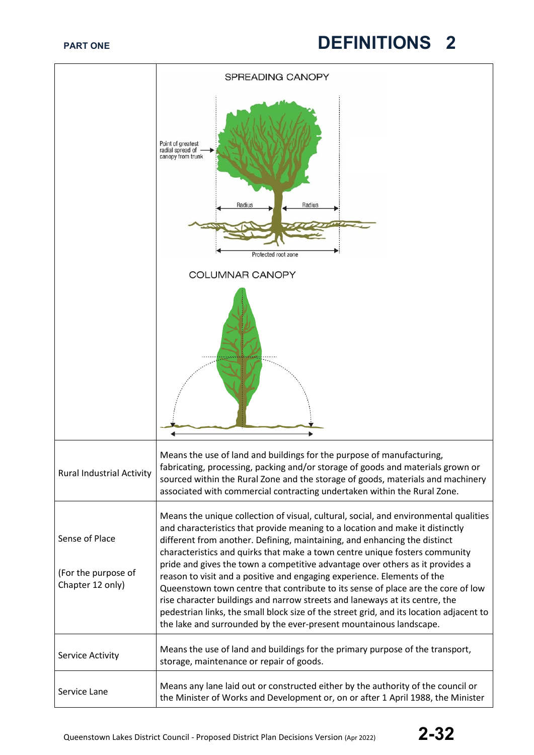|                                                           | SPREADING CANOPY                                                                                                                                                                                                                                                                                                                                                                                                                                                                                                                                                                                                                                                                                                                                                                                                                  |
|-----------------------------------------------------------|-----------------------------------------------------------------------------------------------------------------------------------------------------------------------------------------------------------------------------------------------------------------------------------------------------------------------------------------------------------------------------------------------------------------------------------------------------------------------------------------------------------------------------------------------------------------------------------------------------------------------------------------------------------------------------------------------------------------------------------------------------------------------------------------------------------------------------------|
|                                                           | Point of greatest<br>radial spread of<br>canopy from trunk<br>Radius<br>Radius<br>Protected root zone                                                                                                                                                                                                                                                                                                                                                                                                                                                                                                                                                                                                                                                                                                                             |
|                                                           | <b>COLUMNAR CANOPY</b>                                                                                                                                                                                                                                                                                                                                                                                                                                                                                                                                                                                                                                                                                                                                                                                                            |
|                                                           |                                                                                                                                                                                                                                                                                                                                                                                                                                                                                                                                                                                                                                                                                                                                                                                                                                   |
| <b>Rural Industrial Activity</b>                          | Means the use of land and buildings for the purpose of manufacturing,<br>fabricating, processing, packing and/or storage of goods and materials grown or<br>sourced within the Rural Zone and the storage of goods, materials and machinery<br>associated with commercial contracting undertaken within the Rural Zone.                                                                                                                                                                                                                                                                                                                                                                                                                                                                                                           |
| Sense of Place<br>(For the purpose of<br>Chapter 12 only) | Means the unique collection of visual, cultural, social, and environmental qualities<br>and characteristics that provide meaning to a location and make it distinctly<br>different from another. Defining, maintaining, and enhancing the distinct<br>characteristics and quirks that make a town centre unique fosters community<br>pride and gives the town a competitive advantage over others as it provides a<br>reason to visit and a positive and engaging experience. Elements of the<br>Queenstown town centre that contribute to its sense of place are the core of low<br>rise character buildings and narrow streets and laneways at its centre, the<br>pedestrian links, the small block size of the street grid, and its location adjacent to<br>the lake and surrounded by the ever-present mountainous landscape. |
| Service Activity                                          | Means the use of land and buildings for the primary purpose of the transport,<br>storage, maintenance or repair of goods.                                                                                                                                                                                                                                                                                                                                                                                                                                                                                                                                                                                                                                                                                                         |
| Service Lane                                              | Means any lane laid out or constructed either by the authority of the council or<br>the Minister of Works and Development or, on or after 1 April 1988, the Minister                                                                                                                                                                                                                                                                                                                                                                                                                                                                                                                                                                                                                                                              |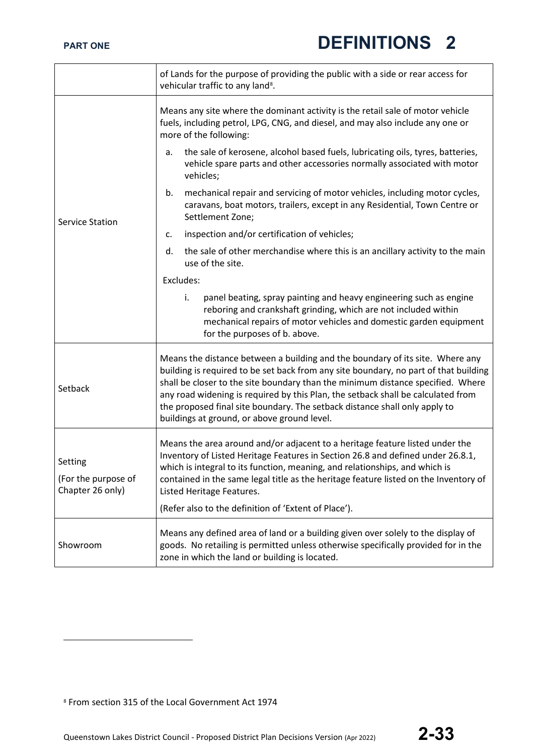|                                                    | of Lands for the purpose of providing the public with a side or rear access for<br>vehicular traffic to any land <sup>8</sup> .                                                                                                                                                                                                                                                                                                                                           |
|----------------------------------------------------|---------------------------------------------------------------------------------------------------------------------------------------------------------------------------------------------------------------------------------------------------------------------------------------------------------------------------------------------------------------------------------------------------------------------------------------------------------------------------|
| <b>Service Station</b>                             | Means any site where the dominant activity is the retail sale of motor vehicle<br>fuels, including petrol, LPG, CNG, and diesel, and may also include any one or<br>more of the following:                                                                                                                                                                                                                                                                                |
|                                                    | the sale of kerosene, alcohol based fuels, lubricating oils, tyres, batteries,<br>a.<br>vehicle spare parts and other accessories normally associated with motor<br>vehicles;                                                                                                                                                                                                                                                                                             |
|                                                    | mechanical repair and servicing of motor vehicles, including motor cycles,<br>b.<br>caravans, boat motors, trailers, except in any Residential, Town Centre or<br>Settlement Zone;                                                                                                                                                                                                                                                                                        |
|                                                    | inspection and/or certification of vehicles;<br>c.                                                                                                                                                                                                                                                                                                                                                                                                                        |
|                                                    | the sale of other merchandise where this is an ancillary activity to the main<br>d.<br>use of the site.                                                                                                                                                                                                                                                                                                                                                                   |
|                                                    | Excludes:                                                                                                                                                                                                                                                                                                                                                                                                                                                                 |
|                                                    | panel beating, spray painting and heavy engineering such as engine<br>i.<br>reboring and crankshaft grinding, which are not included within<br>mechanical repairs of motor vehicles and domestic garden equipment<br>for the purposes of b. above.                                                                                                                                                                                                                        |
| Setback                                            | Means the distance between a building and the boundary of its site. Where any<br>building is required to be set back from any site boundary, no part of that building<br>shall be closer to the site boundary than the minimum distance specified. Where<br>any road widening is required by this Plan, the setback shall be calculated from<br>the proposed final site boundary. The setback distance shall only apply to<br>buildings at ground, or above ground level. |
| Setting<br>(For the purpose of<br>Chapter 26 only) | Means the area around and/or adjacent to a heritage feature listed under the<br>Inventory of Listed Heritage Features in Section 26.8 and defined under 26.8.1,<br>which is integral to its function, meaning, and relationships, and which is<br>contained in the same legal title as the heritage feature listed on the Inventory of<br>Listed Heritage Features.                                                                                                       |
|                                                    | (Refer also to the definition of 'Extent of Place').                                                                                                                                                                                                                                                                                                                                                                                                                      |
| Showroom                                           | Means any defined area of land or a building given over solely to the display of<br>goods. No retailing is permitted unless otherwise specifically provided for in the<br>zone in which the land or building is located.                                                                                                                                                                                                                                                  |

<span id="page-32-0"></span><sup>8</sup> From section 315 of the Local Government Act 1974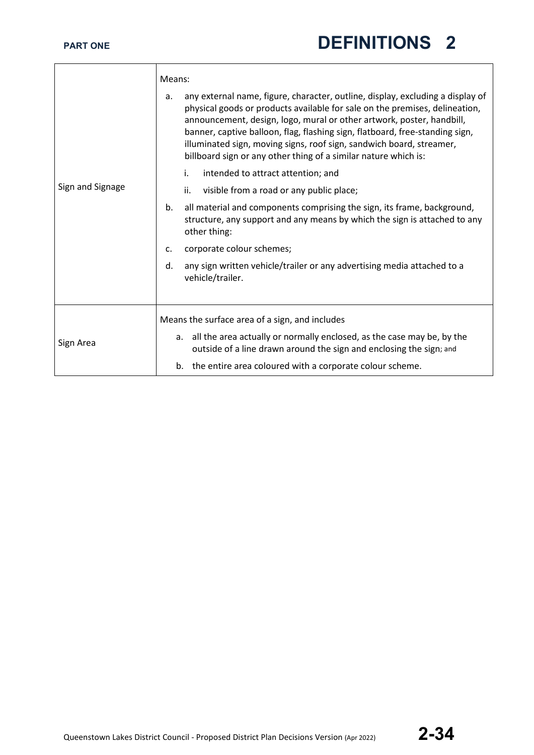|                  | Means:                                                                                                                                                                                                                                                                                                                                                                                                                                                                  |
|------------------|-------------------------------------------------------------------------------------------------------------------------------------------------------------------------------------------------------------------------------------------------------------------------------------------------------------------------------------------------------------------------------------------------------------------------------------------------------------------------|
|                  | any external name, figure, character, outline, display, excluding a display of<br>a.<br>physical goods or products available for sale on the premises, delineation,<br>announcement, design, logo, mural or other artwork, poster, handbill,<br>banner, captive balloon, flag, flashing sign, flatboard, free-standing sign,<br>illuminated sign, moving signs, roof sign, sandwich board, streamer,<br>billboard sign or any other thing of a similar nature which is: |
|                  | i.<br>intended to attract attention; and                                                                                                                                                                                                                                                                                                                                                                                                                                |
| Sign and Signage | ii.<br>visible from a road or any public place;                                                                                                                                                                                                                                                                                                                                                                                                                         |
|                  | all material and components comprising the sign, its frame, background,<br>b.<br>structure, any support and any means by which the sign is attached to any<br>other thing:                                                                                                                                                                                                                                                                                              |
|                  | corporate colour schemes;<br>$\mathsf{C}$ .                                                                                                                                                                                                                                                                                                                                                                                                                             |
|                  | any sign written vehicle/trailer or any advertising media attached to a<br>d.<br>vehicle/trailer.                                                                                                                                                                                                                                                                                                                                                                       |
|                  | Means the surface area of a sign, and includes                                                                                                                                                                                                                                                                                                                                                                                                                          |
| Sign Area        | a. all the area actually or normally enclosed, as the case may be, by the<br>outside of a line drawn around the sign and enclosing the sign; and                                                                                                                                                                                                                                                                                                                        |
|                  | b. the entire area coloured with a corporate colour scheme.                                                                                                                                                                                                                                                                                                                                                                                                             |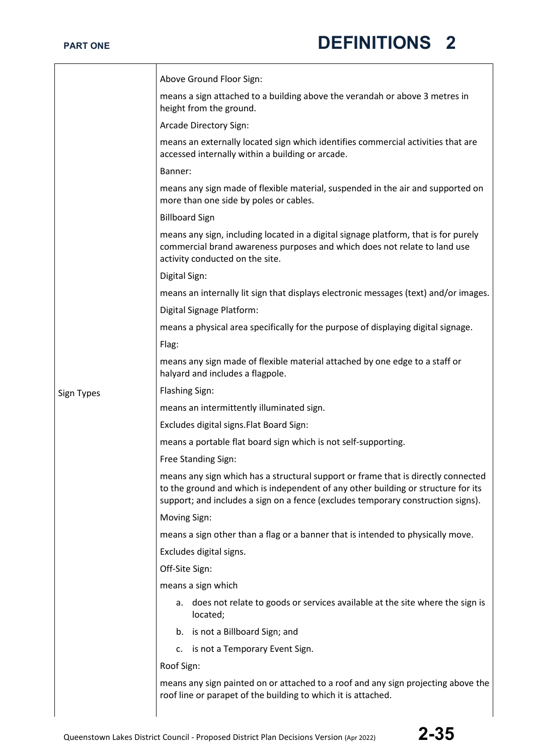|            | Above Ground Floor Sign:                                                                                                                                                                                                                                   |
|------------|------------------------------------------------------------------------------------------------------------------------------------------------------------------------------------------------------------------------------------------------------------|
|            | means a sign attached to a building above the verandah or above 3 metres in<br>height from the ground.                                                                                                                                                     |
|            | Arcade Directory Sign:                                                                                                                                                                                                                                     |
|            | means an externally located sign which identifies commercial activities that are<br>accessed internally within a building or arcade.                                                                                                                       |
|            | Banner:                                                                                                                                                                                                                                                    |
|            | means any sign made of flexible material, suspended in the air and supported on<br>more than one side by poles or cables.                                                                                                                                  |
|            | <b>Billboard Sign</b>                                                                                                                                                                                                                                      |
|            | means any sign, including located in a digital signage platform, that is for purely<br>commercial brand awareness purposes and which does not relate to land use<br>activity conducted on the site.                                                        |
|            | Digital Sign:                                                                                                                                                                                                                                              |
|            | means an internally lit sign that displays electronic messages (text) and/or images.                                                                                                                                                                       |
|            | Digital Signage Platform:                                                                                                                                                                                                                                  |
|            | means a physical area specifically for the purpose of displaying digital signage.                                                                                                                                                                          |
|            | Flag:                                                                                                                                                                                                                                                      |
|            | means any sign made of flexible material attached by one edge to a staff or<br>halyard and includes a flagpole.                                                                                                                                            |
| Sign Types | <b>Flashing Sign:</b>                                                                                                                                                                                                                                      |
|            | means an intermittently illuminated sign.                                                                                                                                                                                                                  |
|            | Excludes digital signs. Flat Board Sign:                                                                                                                                                                                                                   |
|            | means a portable flat board sign which is not self-supporting.                                                                                                                                                                                             |
|            | Free Standing Sign:                                                                                                                                                                                                                                        |
|            | means any sign which has a structural support or frame that is directly connected<br>to the ground and which is independent of any other building or structure for its<br>support; and includes a sign on a fence (excludes temporary construction signs). |
|            | Moving Sign:                                                                                                                                                                                                                                               |
|            | means a sign other than a flag or a banner that is intended to physically move.                                                                                                                                                                            |
|            | Excludes digital signs.                                                                                                                                                                                                                                    |
|            | Off-Site Sign:                                                                                                                                                                                                                                             |
|            | means a sign which                                                                                                                                                                                                                                         |
|            | a. does not relate to goods or services available at the site where the sign is<br>located;                                                                                                                                                                |
|            | b. is not a Billboard Sign; and                                                                                                                                                                                                                            |
|            | c. is not a Temporary Event Sign.                                                                                                                                                                                                                          |
|            | Roof Sign:                                                                                                                                                                                                                                                 |
|            | means any sign painted on or attached to a roof and any sign projecting above the<br>roof line or parapet of the building to which it is attached.                                                                                                         |
|            |                                                                                                                                                                                                                                                            |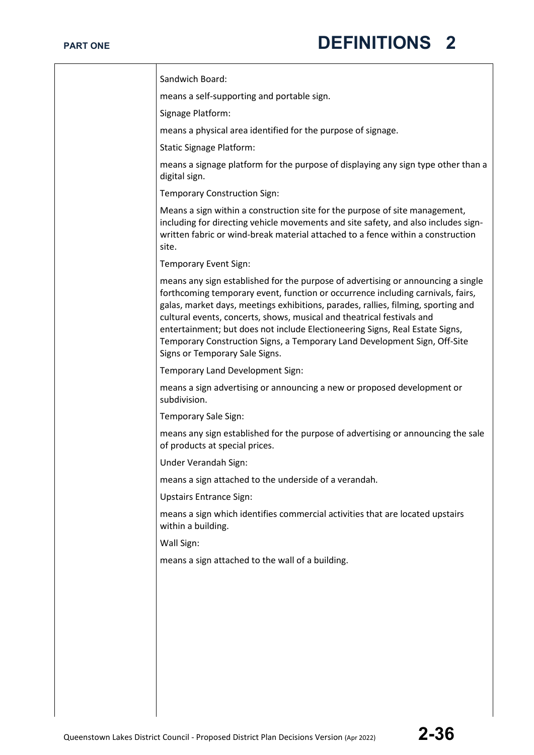| Sandwich Board:                                                                                                                                                                                                                                                                                                                                                                                                                                                                                                                   |
|-----------------------------------------------------------------------------------------------------------------------------------------------------------------------------------------------------------------------------------------------------------------------------------------------------------------------------------------------------------------------------------------------------------------------------------------------------------------------------------------------------------------------------------|
| means a self-supporting and portable sign.                                                                                                                                                                                                                                                                                                                                                                                                                                                                                        |
| Signage Platform:                                                                                                                                                                                                                                                                                                                                                                                                                                                                                                                 |
| means a physical area identified for the purpose of signage.                                                                                                                                                                                                                                                                                                                                                                                                                                                                      |
| <b>Static Signage Platform:</b>                                                                                                                                                                                                                                                                                                                                                                                                                                                                                                   |
| means a signage platform for the purpose of displaying any sign type other than a<br>digital sign.                                                                                                                                                                                                                                                                                                                                                                                                                                |
| <b>Temporary Construction Sign:</b>                                                                                                                                                                                                                                                                                                                                                                                                                                                                                               |
| Means a sign within a construction site for the purpose of site management,<br>including for directing vehicle movements and site safety, and also includes sign-<br>written fabric or wind-break material attached to a fence within a construction<br>site.                                                                                                                                                                                                                                                                     |
| <b>Temporary Event Sign:</b>                                                                                                                                                                                                                                                                                                                                                                                                                                                                                                      |
| means any sign established for the purpose of advertising or announcing a single<br>forthcoming temporary event, function or occurrence including carnivals, fairs,<br>galas, market days, meetings exhibitions, parades, rallies, filming, sporting and<br>cultural events, concerts, shows, musical and theatrical festivals and<br>entertainment; but does not include Electioneering Signs, Real Estate Signs,<br>Temporary Construction Signs, a Temporary Land Development Sign, Off-Site<br>Signs or Temporary Sale Signs. |
| Temporary Land Development Sign:                                                                                                                                                                                                                                                                                                                                                                                                                                                                                                  |
| means a sign advertising or announcing a new or proposed development or<br>subdivision.                                                                                                                                                                                                                                                                                                                                                                                                                                           |
| Temporary Sale Sign:                                                                                                                                                                                                                                                                                                                                                                                                                                                                                                              |
| means any sign established for the purpose of advertising or announcing the sale<br>of products at special prices.                                                                                                                                                                                                                                                                                                                                                                                                                |
| Under Verandah Sign:                                                                                                                                                                                                                                                                                                                                                                                                                                                                                                              |
| means a sign attached to the underside of a verandah.                                                                                                                                                                                                                                                                                                                                                                                                                                                                             |
| <b>Upstairs Entrance Sign:</b>                                                                                                                                                                                                                                                                                                                                                                                                                                                                                                    |
| means a sign which identifies commercial activities that are located upstairs<br>within a building.                                                                                                                                                                                                                                                                                                                                                                                                                               |
| Wall Sign:                                                                                                                                                                                                                                                                                                                                                                                                                                                                                                                        |
| means a sign attached to the wall of a building.                                                                                                                                                                                                                                                                                                                                                                                                                                                                                  |
|                                                                                                                                                                                                                                                                                                                                                                                                                                                                                                                                   |
|                                                                                                                                                                                                                                                                                                                                                                                                                                                                                                                                   |
|                                                                                                                                                                                                                                                                                                                                                                                                                                                                                                                                   |
|                                                                                                                                                                                                                                                                                                                                                                                                                                                                                                                                   |
|                                                                                                                                                                                                                                                                                                                                                                                                                                                                                                                                   |
|                                                                                                                                                                                                                                                                                                                                                                                                                                                                                                                                   |
|                                                                                                                                                                                                                                                                                                                                                                                                                                                                                                                                   |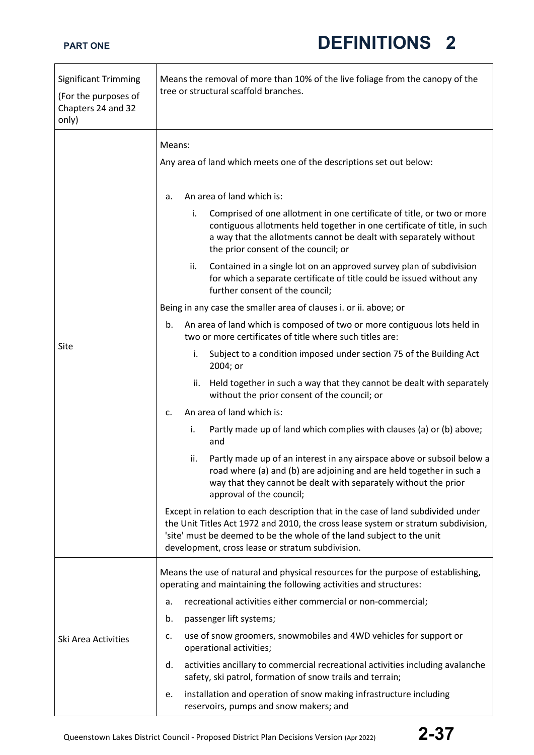| <b>Significant Trimming</b><br>(For the purposes of<br>Chapters 24 and 32<br>only) | Means the removal of more than 10% of the live foliage from the canopy of the<br>tree or structural scaffold branches.                                                                                                                                                                             |
|------------------------------------------------------------------------------------|----------------------------------------------------------------------------------------------------------------------------------------------------------------------------------------------------------------------------------------------------------------------------------------------------|
|                                                                                    | Means:<br>Any area of land which meets one of the descriptions set out below:                                                                                                                                                                                                                      |
|                                                                                    | An area of land which is:<br>a.                                                                                                                                                                                                                                                                    |
|                                                                                    | Comprised of one allotment in one certificate of title, or two or more<br>i.<br>contiguous allotments held together in one certificate of title, in such<br>a way that the allotments cannot be dealt with separately without<br>the prior consent of the council; or                              |
|                                                                                    | Contained in a single lot on an approved survey plan of subdivision<br>ii.<br>for which a separate certificate of title could be issued without any<br>further consent of the council;                                                                                                             |
|                                                                                    | Being in any case the smaller area of clauses i. or ii. above; or                                                                                                                                                                                                                                  |
|                                                                                    | An area of land which is composed of two or more contiguous lots held in<br>b.<br>two or more certificates of title where such titles are:                                                                                                                                                         |
| Site                                                                               | Subject to a condition imposed under section 75 of the Building Act<br>i.<br>2004; or                                                                                                                                                                                                              |
|                                                                                    | Held together in such a way that they cannot be dealt with separately<br>ii.<br>without the prior consent of the council; or                                                                                                                                                                       |
|                                                                                    | An area of land which is:<br>c.                                                                                                                                                                                                                                                                    |
|                                                                                    | Partly made up of land which complies with clauses (a) or (b) above;<br>i.<br>and                                                                                                                                                                                                                  |
|                                                                                    | Partly made up of an interest in any airspace above or subsoil below a<br>ii.<br>road where (a) and (b) are adjoining and are held together in such a<br>way that they cannot be dealt with separately without the prior<br>approval of the council;                                               |
|                                                                                    | Except in relation to each description that in the case of land subdivided under<br>the Unit Titles Act 1972 and 2010, the cross lease system or stratum subdivision,<br>'site' must be deemed to be the whole of the land subject to the unit<br>development, cross lease or stratum subdivision. |
|                                                                                    | Means the use of natural and physical resources for the purpose of establishing,<br>operating and maintaining the following activities and structures:                                                                                                                                             |
|                                                                                    | recreational activities either commercial or non-commercial;<br>a.                                                                                                                                                                                                                                 |
|                                                                                    | b.<br>passenger lift systems;                                                                                                                                                                                                                                                                      |
| Ski Area Activities                                                                | use of snow groomers, snowmobiles and 4WD vehicles for support or<br>c.<br>operational activities;                                                                                                                                                                                                 |
|                                                                                    | activities ancillary to commercial recreational activities including avalanche<br>d.<br>safety, ski patrol, formation of snow trails and terrain;                                                                                                                                                  |
|                                                                                    | installation and operation of snow making infrastructure including<br>e.<br>reservoirs, pumps and snow makers; and                                                                                                                                                                                 |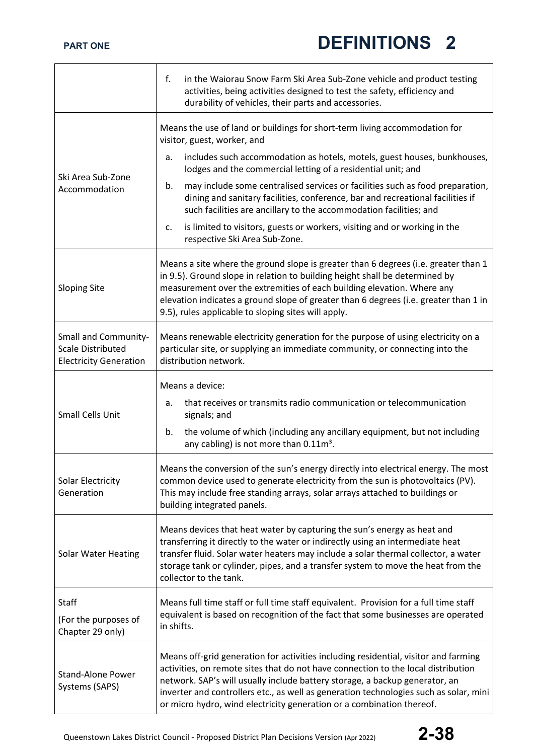|                                                                                          | f.<br>in the Waiorau Snow Farm Ski Area Sub-Zone vehicle and product testing<br>activities, being activities designed to test the safety, efficiency and<br>durability of vehicles, their parts and accessories.                                                                                                                                                                                                          |
|------------------------------------------------------------------------------------------|---------------------------------------------------------------------------------------------------------------------------------------------------------------------------------------------------------------------------------------------------------------------------------------------------------------------------------------------------------------------------------------------------------------------------|
| Ski Area Sub-Zone<br>Accommodation                                                       | Means the use of land or buildings for short-term living accommodation for<br>visitor, guest, worker, and                                                                                                                                                                                                                                                                                                                 |
|                                                                                          | includes such accommodation as hotels, motels, guest houses, bunkhouses,<br>a.<br>lodges and the commercial letting of a residential unit; and                                                                                                                                                                                                                                                                            |
|                                                                                          | may include some centralised services or facilities such as food preparation,<br>b.<br>dining and sanitary facilities, conference, bar and recreational facilities if<br>such facilities are ancillary to the accommodation facilities; and                                                                                                                                                                               |
|                                                                                          | is limited to visitors, guests or workers, visiting and or working in the<br>c.<br>respective Ski Area Sub-Zone.                                                                                                                                                                                                                                                                                                          |
| <b>Sloping Site</b>                                                                      | Means a site where the ground slope is greater than 6 degrees (i.e. greater than 1<br>in 9.5). Ground slope in relation to building height shall be determined by<br>measurement over the extremities of each building elevation. Where any<br>elevation indicates a ground slope of greater than 6 degrees (i.e. greater than 1 in<br>9.5), rules applicable to sloping sites will apply.                                |
| <b>Small and Community-</b><br><b>Scale Distributed</b><br><b>Electricity Generation</b> | Means renewable electricity generation for the purpose of using electricity on a<br>particular site, or supplying an immediate community, or connecting into the<br>distribution network.                                                                                                                                                                                                                                 |
| <b>Small Cells Unit</b>                                                                  | Means a device:<br>that receives or transmits radio communication or telecommunication<br>a.<br>signals; and<br>the volume of which (including any ancillary equipment, but not including<br>b.<br>any cabling) is not more than 0.11m <sup>3</sup> .                                                                                                                                                                     |
| Solar Electricity<br>Generation                                                          | Means the conversion of the sun's energy directly into electrical energy. The most<br>common device used to generate electricity from the sun is photovoltaics (PV).<br>This may include free standing arrays, solar arrays attached to buildings or<br>building integrated panels.                                                                                                                                       |
| <b>Solar Water Heating</b>                                                               | Means devices that heat water by capturing the sun's energy as heat and<br>transferring it directly to the water or indirectly using an intermediate heat<br>transfer fluid. Solar water heaters may include a solar thermal collector, a water<br>storage tank or cylinder, pipes, and a transfer system to move the heat from the<br>collector to the tank.                                                             |
| <b>Staff</b>                                                                             | Means full time staff or full time staff equivalent. Provision for a full time staff<br>equivalent is based on recognition of the fact that some businesses are operated                                                                                                                                                                                                                                                  |
| (For the purposes of<br>Chapter 29 only)                                                 | in shifts.                                                                                                                                                                                                                                                                                                                                                                                                                |
| <b>Stand-Alone Power</b><br>Systems (SAPS)                                               | Means off-grid generation for activities including residential, visitor and farming<br>activities, on remote sites that do not have connection to the local distribution<br>network. SAP's will usually include battery storage, a backup generator, an<br>inverter and controllers etc., as well as generation technologies such as solar, mini<br>or micro hydro, wind electricity generation or a combination thereof. |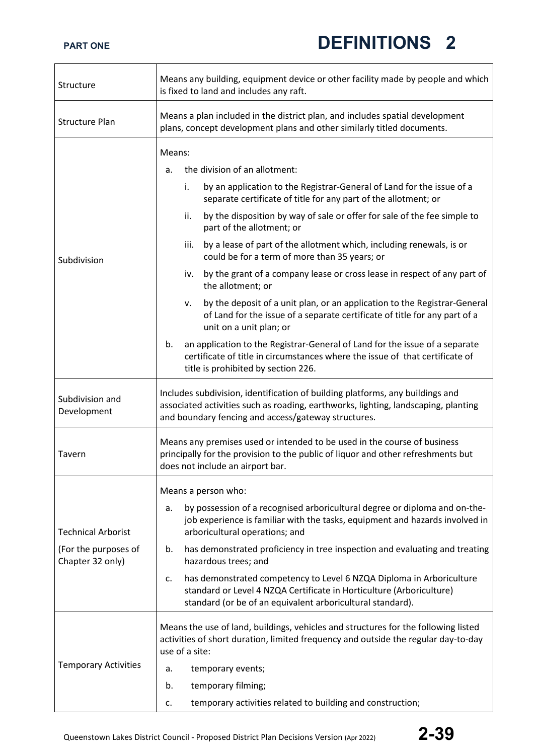| Structure                                                             | Means any building, equipment device or other facility made by people and which<br>is fixed to land and includes any raft.                                                                                                                                                                                                                                                                                                                                                                                                                                                                                                                                                                                                                                                                                                                                                                                                                                       |
|-----------------------------------------------------------------------|------------------------------------------------------------------------------------------------------------------------------------------------------------------------------------------------------------------------------------------------------------------------------------------------------------------------------------------------------------------------------------------------------------------------------------------------------------------------------------------------------------------------------------------------------------------------------------------------------------------------------------------------------------------------------------------------------------------------------------------------------------------------------------------------------------------------------------------------------------------------------------------------------------------------------------------------------------------|
| <b>Structure Plan</b>                                                 | Means a plan included in the district plan, and includes spatial development<br>plans, concept development plans and other similarly titled documents.                                                                                                                                                                                                                                                                                                                                                                                                                                                                                                                                                                                                                                                                                                                                                                                                           |
| Subdivision                                                           | Means:<br>the division of an allotment:<br>a.<br>by an application to the Registrar-General of Land for the issue of a<br>i.<br>separate certificate of title for any part of the allotment; or<br>by the disposition by way of sale or offer for sale of the fee simple to<br>ii.<br>part of the allotment; or<br>by a lease of part of the allotment which, including renewals, is or<br>iii.<br>could be for a term of more than 35 years; or<br>by the grant of a company lease or cross lease in respect of any part of<br>iv.<br>the allotment; or<br>by the deposit of a unit plan, or an application to the Registrar-General<br>ν.<br>of Land for the issue of a separate certificate of title for any part of a<br>unit on a unit plan; or<br>an application to the Registrar-General of Land for the issue of a separate<br>b.<br>certificate of title in circumstances where the issue of that certificate of<br>title is prohibited by section 226. |
| Subdivision and<br>Development                                        | Includes subdivision, identification of building platforms, any buildings and<br>associated activities such as roading, earthworks, lighting, landscaping, planting<br>and boundary fencing and access/gateway structures.                                                                                                                                                                                                                                                                                                                                                                                                                                                                                                                                                                                                                                                                                                                                       |
| Tavern                                                                | Means any premises used or intended to be used in the course of business<br>principally for the provision to the public of liquor and other refreshments but<br>does not include an airport bar.                                                                                                                                                                                                                                                                                                                                                                                                                                                                                                                                                                                                                                                                                                                                                                 |
| <b>Technical Arborist</b><br>(For the purposes of<br>Chapter 32 only) | Means a person who:<br>by possession of a recognised arboricultural degree or diploma and on-the-<br>a.<br>job experience is familiar with the tasks, equipment and hazards involved in<br>arboricultural operations; and<br>has demonstrated proficiency in tree inspection and evaluating and treating<br>b.<br>hazardous trees; and<br>has demonstrated competency to Level 6 NZQA Diploma in Arboriculture<br>c.<br>standard or Level 4 NZQA Certificate in Horticulture (Arboriculture)<br>standard (or be of an equivalent arboricultural standard).<br>Means the use of land, buildings, vehicles and structures for the following listed                                                                                                                                                                                                                                                                                                                 |
| <b>Temporary Activities</b>                                           | activities of short duration, limited frequency and outside the regular day-to-day<br>use of a site:<br>temporary events;<br>a.<br>temporary filming;<br>b.<br>temporary activities related to building and construction;<br>c.                                                                                                                                                                                                                                                                                                                                                                                                                                                                                                                                                                                                                                                                                                                                  |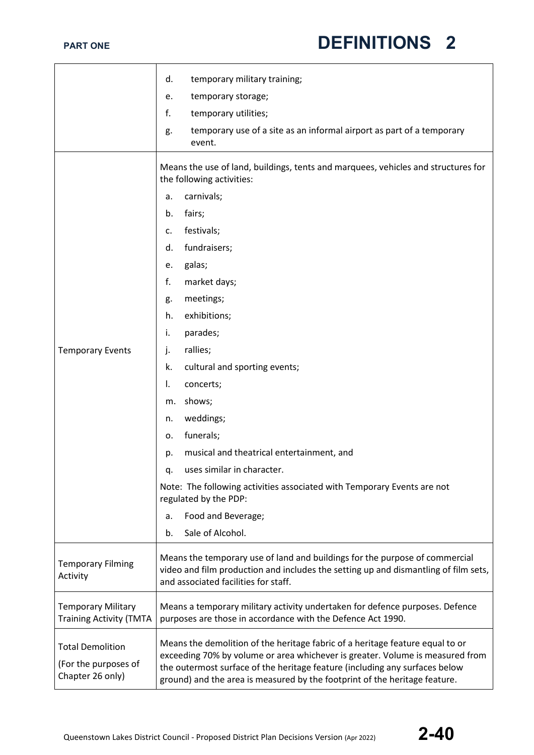|                                                                     | temporary military training;<br>d.                                                                                                                                                                                                                                                                                          |  |
|---------------------------------------------------------------------|-----------------------------------------------------------------------------------------------------------------------------------------------------------------------------------------------------------------------------------------------------------------------------------------------------------------------------|--|
|                                                                     | temporary storage;<br>e.                                                                                                                                                                                                                                                                                                    |  |
|                                                                     | f.<br>temporary utilities;                                                                                                                                                                                                                                                                                                  |  |
|                                                                     | temporary use of a site as an informal airport as part of a temporary<br>g.<br>event.                                                                                                                                                                                                                                       |  |
|                                                                     | Means the use of land, buildings, tents and marquees, vehicles and structures for<br>the following activities:                                                                                                                                                                                                              |  |
|                                                                     | carnivals;<br>a.                                                                                                                                                                                                                                                                                                            |  |
|                                                                     | fairs;<br>b.                                                                                                                                                                                                                                                                                                                |  |
|                                                                     | festivals;<br>c.                                                                                                                                                                                                                                                                                                            |  |
|                                                                     | fundraisers;<br>d.                                                                                                                                                                                                                                                                                                          |  |
|                                                                     | galas;<br>е.                                                                                                                                                                                                                                                                                                                |  |
|                                                                     | f.<br>market days;                                                                                                                                                                                                                                                                                                          |  |
|                                                                     | meetings;<br>g.                                                                                                                                                                                                                                                                                                             |  |
|                                                                     | exhibitions;<br>h.                                                                                                                                                                                                                                                                                                          |  |
|                                                                     | i.<br>parades;                                                                                                                                                                                                                                                                                                              |  |
| <b>Temporary Events</b>                                             | rallies;<br>j.                                                                                                                                                                                                                                                                                                              |  |
|                                                                     | cultural and sporting events;<br>k.                                                                                                                                                                                                                                                                                         |  |
|                                                                     | concerts;<br>Ι.                                                                                                                                                                                                                                                                                                             |  |
|                                                                     | shows;<br>m.                                                                                                                                                                                                                                                                                                                |  |
|                                                                     | weddings;<br>n.                                                                                                                                                                                                                                                                                                             |  |
|                                                                     | funerals;<br>о.                                                                                                                                                                                                                                                                                                             |  |
|                                                                     | musical and theatrical entertainment, and<br>p.                                                                                                                                                                                                                                                                             |  |
|                                                                     | uses similar in character.<br>q.                                                                                                                                                                                                                                                                                            |  |
|                                                                     | Note: The following activities associated with Temporary Events are not<br>regulated by the PDP:                                                                                                                                                                                                                            |  |
|                                                                     | Food and Beverage;<br>a.                                                                                                                                                                                                                                                                                                    |  |
|                                                                     | Sale of Alcohol.<br>b.                                                                                                                                                                                                                                                                                                      |  |
| <b>Temporary Filming</b><br>Activity                                | Means the temporary use of land and buildings for the purpose of commercial<br>video and film production and includes the setting up and dismantling of film sets,<br>and associated facilities for staff.                                                                                                                  |  |
| <b>Temporary Military</b><br><b>Training Activity (TMTA</b>         | Means a temporary military activity undertaken for defence purposes. Defence<br>purposes are those in accordance with the Defence Act 1990.                                                                                                                                                                                 |  |
| <b>Total Demolition</b><br>(For the purposes of<br>Chapter 26 only) | Means the demolition of the heritage fabric of a heritage feature equal to or<br>exceeding 70% by volume or area whichever is greater. Volume is measured from<br>the outermost surface of the heritage feature (including any surfaces below<br>ground) and the area is measured by the footprint of the heritage feature. |  |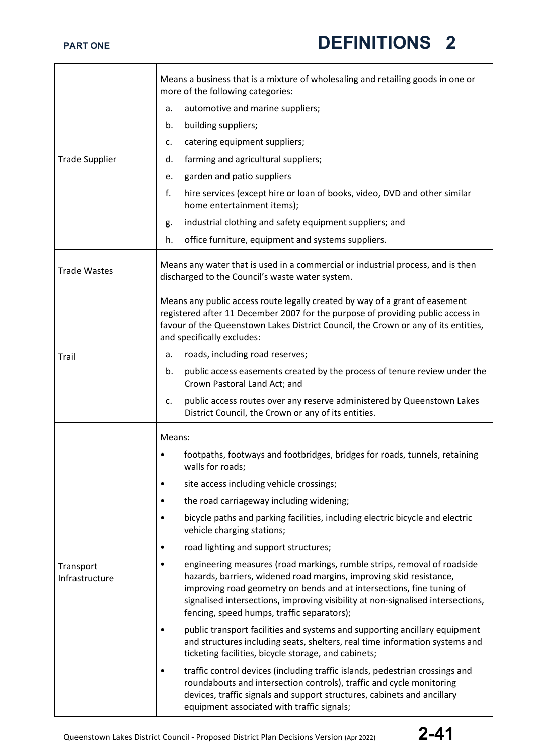|                             | Means a business that is a mixture of wholesaling and retailing goods in one or<br>more of the following categories:                                                                                                                                                                                                                                          |  |
|-----------------------------|---------------------------------------------------------------------------------------------------------------------------------------------------------------------------------------------------------------------------------------------------------------------------------------------------------------------------------------------------------------|--|
|                             | automotive and marine suppliers;<br>a.                                                                                                                                                                                                                                                                                                                        |  |
|                             | building suppliers;<br>b.                                                                                                                                                                                                                                                                                                                                     |  |
|                             | catering equipment suppliers;<br>c.                                                                                                                                                                                                                                                                                                                           |  |
| <b>Trade Supplier</b>       | farming and agricultural suppliers;<br>d.                                                                                                                                                                                                                                                                                                                     |  |
|                             | garden and patio suppliers<br>e.                                                                                                                                                                                                                                                                                                                              |  |
|                             | f.<br>hire services (except hire or loan of books, video, DVD and other similar<br>home entertainment items);                                                                                                                                                                                                                                                 |  |
|                             | industrial clothing and safety equipment suppliers; and<br>g.                                                                                                                                                                                                                                                                                                 |  |
|                             | office furniture, equipment and systems suppliers.<br>h.                                                                                                                                                                                                                                                                                                      |  |
| <b>Trade Wastes</b>         | Means any water that is used in a commercial or industrial process, and is then<br>discharged to the Council's waste water system.                                                                                                                                                                                                                            |  |
|                             | Means any public access route legally created by way of a grant of easement<br>registered after 11 December 2007 for the purpose of providing public access in<br>favour of the Queenstown Lakes District Council, the Crown or any of its entities,<br>and specifically excludes:                                                                            |  |
| Trail                       | roads, including road reserves;<br>а.                                                                                                                                                                                                                                                                                                                         |  |
|                             | public access easements created by the process of tenure review under the<br>b.<br>Crown Pastoral Land Act; and                                                                                                                                                                                                                                               |  |
|                             | public access routes over any reserve administered by Queenstown Lakes<br>c.<br>District Council, the Crown or any of its entities.                                                                                                                                                                                                                           |  |
|                             | Means:                                                                                                                                                                                                                                                                                                                                                        |  |
|                             | footpaths, footways and footbridges, bridges for roads, tunnels, retaining<br>walls for roads;                                                                                                                                                                                                                                                                |  |
|                             | site access including vehicle crossings;                                                                                                                                                                                                                                                                                                                      |  |
|                             | the road carriageway including widening;<br>$\bullet$                                                                                                                                                                                                                                                                                                         |  |
| Transport<br>Infrastructure | bicycle paths and parking facilities, including electric bicycle and electric<br>٠<br>vehicle charging stations;                                                                                                                                                                                                                                              |  |
|                             | road lighting and support structures;                                                                                                                                                                                                                                                                                                                         |  |
|                             | engineering measures (road markings, rumble strips, removal of roadside<br>٠<br>hazards, barriers, widened road margins, improving skid resistance,<br>improving road geometry on bends and at intersections, fine tuning of<br>signalised intersections, improving visibility at non-signalised intersections,<br>fencing, speed humps, traffic separators); |  |
|                             | public transport facilities and systems and supporting ancillary equipment<br>٠<br>and structures including seats, shelters, real time information systems and<br>ticketing facilities, bicycle storage, and cabinets;                                                                                                                                        |  |
|                             | traffic control devices (including traffic islands, pedestrian crossings and<br>roundabouts and intersection controls), traffic and cycle monitoring<br>devices, traffic signals and support structures, cabinets and ancillary<br>equipment associated with traffic signals;                                                                                 |  |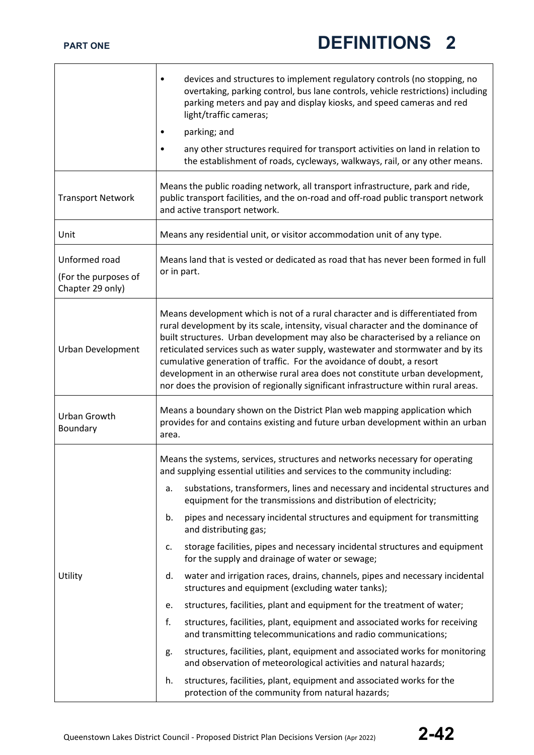|                                                           | devices and structures to implement regulatory controls (no stopping, no<br>٠<br>overtaking, parking control, bus lane controls, vehicle restrictions) including<br>parking meters and pay and display kiosks, and speed cameras and red<br>light/traffic cameras;<br>parking; and<br>any other structures required for transport activities on land in relation to<br>the establishment of roads, cycleways, walkways, rail, or any other means.                                                                                                                                                                                                                                                                                                                                                                                                                                                                                                                                                                                                                                                                                                                                                                                                        |
|-----------------------------------------------------------|----------------------------------------------------------------------------------------------------------------------------------------------------------------------------------------------------------------------------------------------------------------------------------------------------------------------------------------------------------------------------------------------------------------------------------------------------------------------------------------------------------------------------------------------------------------------------------------------------------------------------------------------------------------------------------------------------------------------------------------------------------------------------------------------------------------------------------------------------------------------------------------------------------------------------------------------------------------------------------------------------------------------------------------------------------------------------------------------------------------------------------------------------------------------------------------------------------------------------------------------------------|
| <b>Transport Network</b>                                  | Means the public roading network, all transport infrastructure, park and ride,<br>public transport facilities, and the on-road and off-road public transport network<br>and active transport network.                                                                                                                                                                                                                                                                                                                                                                                                                                                                                                                                                                                                                                                                                                                                                                                                                                                                                                                                                                                                                                                    |
| Unit                                                      | Means any residential unit, or visitor accommodation unit of any type.                                                                                                                                                                                                                                                                                                                                                                                                                                                                                                                                                                                                                                                                                                                                                                                                                                                                                                                                                                                                                                                                                                                                                                                   |
| Unformed road<br>(For the purposes of<br>Chapter 29 only) | Means land that is vested or dedicated as road that has never been formed in full<br>or in part.                                                                                                                                                                                                                                                                                                                                                                                                                                                                                                                                                                                                                                                                                                                                                                                                                                                                                                                                                                                                                                                                                                                                                         |
| <b>Urban Development</b>                                  | Means development which is not of a rural character and is differentiated from<br>rural development by its scale, intensity, visual character and the dominance of<br>built structures. Urban development may also be characterised by a reliance on<br>reticulated services such as water supply, wastewater and stormwater and by its<br>cumulative generation of traffic. For the avoidance of doubt, a resort<br>development in an otherwise rural area does not constitute urban development,<br>nor does the provision of regionally significant infrastructure within rural areas.                                                                                                                                                                                                                                                                                                                                                                                                                                                                                                                                                                                                                                                                |
| Urban Growth<br>Boundary                                  | Means a boundary shown on the District Plan web mapping application which<br>provides for and contains existing and future urban development within an urban<br>area.                                                                                                                                                                                                                                                                                                                                                                                                                                                                                                                                                                                                                                                                                                                                                                                                                                                                                                                                                                                                                                                                                    |
| Utility                                                   | Means the systems, services, structures and networks necessary for operating<br>and supplying essential utilities and services to the community including:<br>substations, transformers, lines and necessary and incidental structures and<br>a.<br>equipment for the transmissions and distribution of electricity;<br>pipes and necessary incidental structures and equipment for transmitting<br>b.<br>and distributing gas;<br>storage facilities, pipes and necessary incidental structures and equipment<br>c.<br>for the supply and drainage of water or sewage;<br>water and irrigation races, drains, channels, pipes and necessary incidental<br>d.<br>structures and equipment (excluding water tanks);<br>structures, facilities, plant and equipment for the treatment of water;<br>e.<br>f.<br>structures, facilities, plant, equipment and associated works for receiving<br>and transmitting telecommunications and radio communications;<br>structures, facilities, plant, equipment and associated works for monitoring<br>g.<br>and observation of meteorological activities and natural hazards;<br>structures, facilities, plant, equipment and associated works for the<br>h.<br>protection of the community from natural hazards; |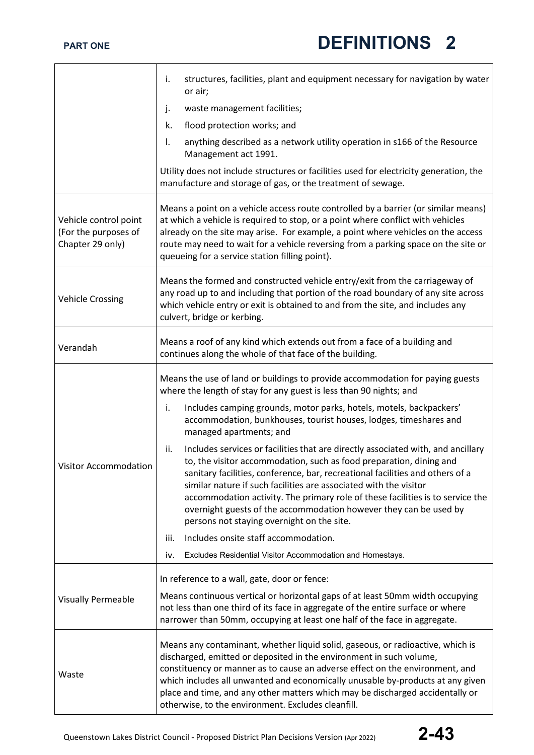|                                                                   | structures, facilities, plant and equipment necessary for navigation by water<br>i.<br>or air;                                                                                                                                                                                                                                                                                                                                                                                                                            |  |
|-------------------------------------------------------------------|---------------------------------------------------------------------------------------------------------------------------------------------------------------------------------------------------------------------------------------------------------------------------------------------------------------------------------------------------------------------------------------------------------------------------------------------------------------------------------------------------------------------------|--|
|                                                                   | j.<br>waste management facilities;                                                                                                                                                                                                                                                                                                                                                                                                                                                                                        |  |
|                                                                   | k.<br>flood protection works; and                                                                                                                                                                                                                                                                                                                                                                                                                                                                                         |  |
|                                                                   | Ι.<br>anything described as a network utility operation in s166 of the Resource<br>Management act 1991.                                                                                                                                                                                                                                                                                                                                                                                                                   |  |
|                                                                   | Utility does not include structures or facilities used for electricity generation, the<br>manufacture and storage of gas, or the treatment of sewage.                                                                                                                                                                                                                                                                                                                                                                     |  |
| Vehicle control point<br>(For the purposes of<br>Chapter 29 only) | Means a point on a vehicle access route controlled by a barrier (or similar means)<br>at which a vehicle is required to stop, or a point where conflict with vehicles<br>already on the site may arise. For example, a point where vehicles on the access<br>route may need to wait for a vehicle reversing from a parking space on the site or<br>queueing for a service station filling point).                                                                                                                         |  |
| <b>Vehicle Crossing</b>                                           | Means the formed and constructed vehicle entry/exit from the carriageway of<br>any road up to and including that portion of the road boundary of any site across<br>which vehicle entry or exit is obtained to and from the site, and includes any<br>culvert, bridge or kerbing.                                                                                                                                                                                                                                         |  |
| Verandah                                                          | Means a roof of any kind which extends out from a face of a building and<br>continues along the whole of that face of the building.                                                                                                                                                                                                                                                                                                                                                                                       |  |
| <b>Visitor Accommodation</b>                                      | Means the use of land or buildings to provide accommodation for paying guests<br>where the length of stay for any guest is less than 90 nights; and                                                                                                                                                                                                                                                                                                                                                                       |  |
|                                                                   | i.<br>Includes camping grounds, motor parks, hotels, motels, backpackers'<br>accommodation, bunkhouses, tourist houses, lodges, timeshares and<br>managed apartments; and                                                                                                                                                                                                                                                                                                                                                 |  |
|                                                                   | ii.<br>Includes services or facilities that are directly associated with, and ancillary<br>to, the visitor accommodation, such as food preparation, dining and<br>sanitary facilities, conference, bar, recreational facilities and others of a<br>similar nature if such facilities are associated with the visitor<br>accommodation activity. The primary role of these facilities is to service the<br>overnight guests of the accommodation however they can be used by<br>persons not staying overnight on the site. |  |
|                                                                   | Includes onsite staff accommodation.<br>iii.                                                                                                                                                                                                                                                                                                                                                                                                                                                                              |  |
|                                                                   | Excludes Residential Visitor Accommodation and Homestays.<br>iv.                                                                                                                                                                                                                                                                                                                                                                                                                                                          |  |
|                                                                   | In reference to a wall, gate, door or fence:                                                                                                                                                                                                                                                                                                                                                                                                                                                                              |  |
| <b>Visually Permeable</b>                                         | Means continuous vertical or horizontal gaps of at least 50mm width occupying<br>not less than one third of its face in aggregate of the entire surface or where<br>narrower than 50mm, occupying at least one half of the face in aggregate.                                                                                                                                                                                                                                                                             |  |
| Waste                                                             | Means any contaminant, whether liquid solid, gaseous, or radioactive, which is<br>discharged, emitted or deposited in the environment in such volume,<br>constituency or manner as to cause an adverse effect on the environment, and<br>which includes all unwanted and economically unusable by-products at any given<br>place and time, and any other matters which may be discharged accidentally or<br>otherwise, to the environment. Excludes cleanfill.                                                            |  |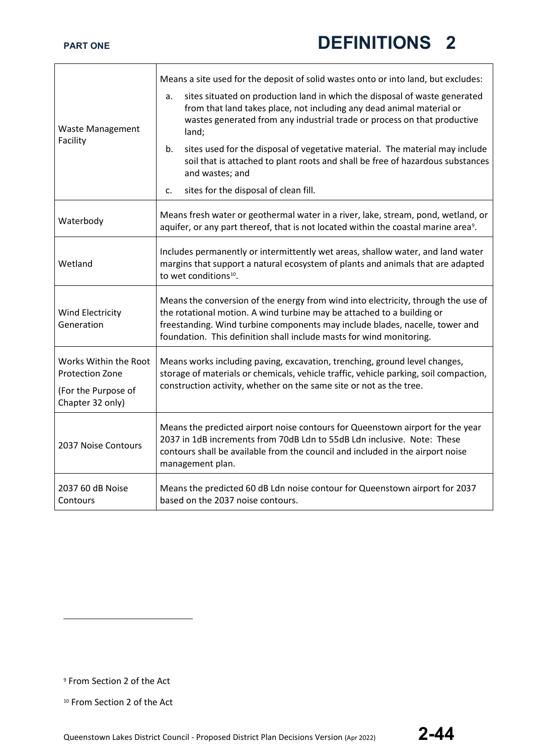$\mathbf{r}$ 

L,

|                                                 | Means a site used for the deposit of solid wastes onto or into land, but excludes:                                                                                                                                                                                                                                  |  |
|-------------------------------------------------|---------------------------------------------------------------------------------------------------------------------------------------------------------------------------------------------------------------------------------------------------------------------------------------------------------------------|--|
| Waste Management<br>Facility                    | sites situated on production land in which the disposal of waste generated<br>a.<br>from that land takes place, not including any dead animal material or<br>wastes generated from any industrial trade or process on that productive<br>land;                                                                      |  |
|                                                 | sites used for the disposal of vegetative material. The material may include<br>b.<br>soil that is attached to plant roots and shall be free of hazardous substances<br>and wastes; and                                                                                                                             |  |
|                                                 | sites for the disposal of clean fill.<br>c.                                                                                                                                                                                                                                                                         |  |
| Waterbody                                       | Means fresh water or geothermal water in a river, lake, stream, pond, wetland, or<br>aquifer, or any part thereof, that is not located within the coastal marine area <sup>9</sup> .                                                                                                                                |  |
| Wetland                                         | Includes permanently or intermittently wet areas, shallow water, and land water<br>margins that support a natural ecosystem of plants and animals that are adapted<br>to wet conditions <sup>10</sup> .                                                                                                             |  |
| Wind Electricity<br>Generation                  | Means the conversion of the energy from wind into electricity, through the use of<br>the rotational motion. A wind turbine may be attached to a building or<br>freestanding. Wind turbine components may include blades, nacelle, tower and<br>foundation. This definition shall include masts for wind monitoring. |  |
| Works Within the Root<br><b>Protection Zone</b> | Means works including paving, excavation, trenching, ground level changes,<br>storage of materials or chemicals, vehicle traffic, vehicle parking, soil compaction,                                                                                                                                                 |  |
| (For the Purpose of<br>Chapter 32 only)         | construction activity, whether on the same site or not as the tree.                                                                                                                                                                                                                                                 |  |
| 2037 Noise Contours                             | Means the predicted airport noise contours for Queenstown airport for the year<br>2037 in 1dB increments from 70dB Ldn to 55dB Ldn inclusive. Note: These<br>contours shall be available from the council and included in the airport noise<br>management plan.                                                     |  |
| 2037 60 dB Noise<br>Contours                    | Means the predicted 60 dB Ldn noise contour for Queenstown airport for 2037<br>based on the 2037 noise contours.                                                                                                                                                                                                    |  |

<span id="page-43-0"></span><sup>9</sup> From Section 2 of the Act

<span id="page-43-1"></span><sup>10</sup> From Section 2 of the Act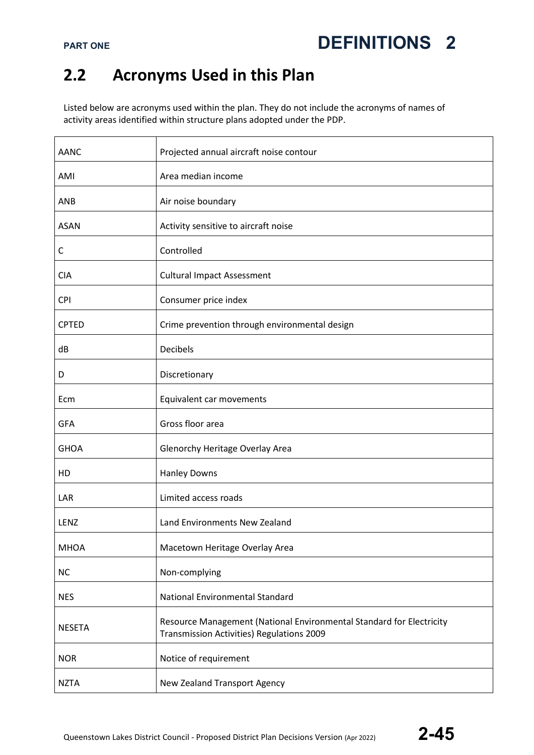### **2.2 Acronyms Used in this Plan**

Listed below are acronyms used within the plan. They do not include the acronyms of names of activity areas identified within structure plans adopted under the PDP.

| AANC          | Projected annual aircraft noise contour                                                                                  |
|---------------|--------------------------------------------------------------------------------------------------------------------------|
| AMI           | Area median income                                                                                                       |
| ANB           | Air noise boundary                                                                                                       |
| <b>ASAN</b>   | Activity sensitive to aircraft noise                                                                                     |
| C             | Controlled                                                                                                               |
| <b>CIA</b>    | <b>Cultural Impact Assessment</b>                                                                                        |
| <b>CPI</b>    | Consumer price index                                                                                                     |
| <b>CPTED</b>  | Crime prevention through environmental design                                                                            |
| dB            | <b>Decibels</b>                                                                                                          |
| D             | Discretionary                                                                                                            |
| Ecm           | Equivalent car movements                                                                                                 |
| <b>GFA</b>    | Gross floor area                                                                                                         |
| <b>GHOA</b>   | Glenorchy Heritage Overlay Area                                                                                          |
| HD            | <b>Hanley Downs</b>                                                                                                      |
| LAR           | Limited access roads                                                                                                     |
| <b>LENZ</b>   | Land Environments New Zealand                                                                                            |
| <b>MHOA</b>   | Macetown Heritage Overlay Area                                                                                           |
| <b>NC</b>     | Non-complying                                                                                                            |
| <b>NES</b>    | <b>National Environmental Standard</b>                                                                                   |
| <b>NESETA</b> | Resource Management (National Environmental Standard for Electricity<br><b>Transmission Activities) Regulations 2009</b> |
| <b>NOR</b>    | Notice of requirement                                                                                                    |
| <b>NZTA</b>   | New Zealand Transport Agency                                                                                             |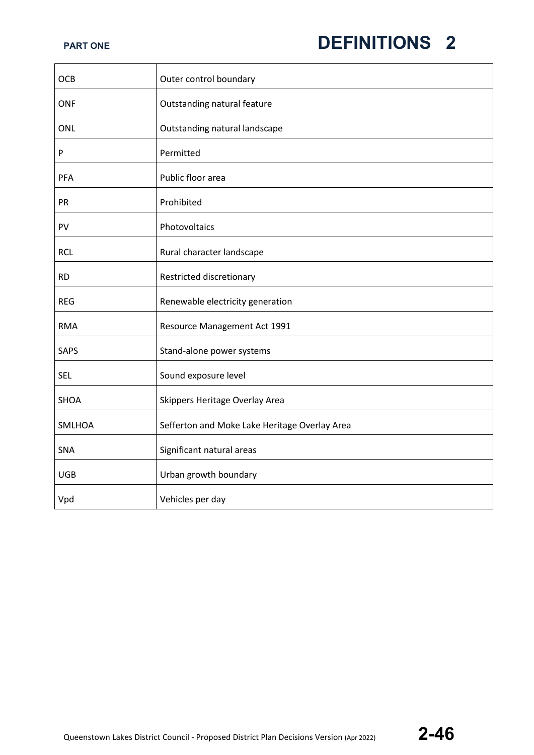| <b>OCB</b>    | Outer control boundary                        |
|---------------|-----------------------------------------------|
| <b>ONF</b>    | Outstanding natural feature                   |
| <b>ONL</b>    | Outstanding natural landscape                 |
| ${\sf P}$     | Permitted                                     |
| PFA           | Public floor area                             |
| PR            | Prohibited                                    |
| PV            | Photovoltaics                                 |
| <b>RCL</b>    | Rural character landscape                     |
| <b>RD</b>     | Restricted discretionary                      |
| <b>REG</b>    | Renewable electricity generation              |
| <b>RMA</b>    | Resource Management Act 1991                  |
| <b>SAPS</b>   | Stand-alone power systems                     |
| <b>SEL</b>    | Sound exposure level                          |
| <b>SHOA</b>   | Skippers Heritage Overlay Area                |
| <b>SMLHOA</b> | Sefferton and Moke Lake Heritage Overlay Area |
| <b>SNA</b>    | Significant natural areas                     |
| <b>UGB</b>    | Urban growth boundary                         |
| Vpd           | Vehicles per day                              |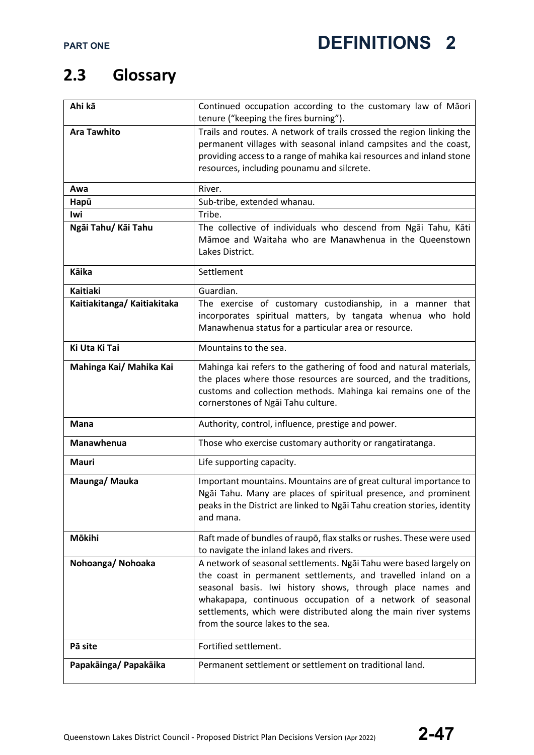### **2.3 Glossary**

| Ahi kā                      | Continued occupation according to the customary law of Māori<br>tenure ("keeping the fires burning"). |
|-----------------------------|-------------------------------------------------------------------------------------------------------|
| <b>Ara Tawhito</b>          | Trails and routes. A network of trails crossed the region linking the                                 |
|                             | permanent villages with seasonal inland campsites and the coast,                                      |
|                             | providing access to a range of mahika kai resources and inland stone                                  |
|                             | resources, including pounamu and silcrete.                                                            |
|                             |                                                                                                       |
| Awa                         | River.                                                                                                |
| Hapū                        | Sub-tribe, extended whanau.                                                                           |
| lwi                         | Tribe.                                                                                                |
| Ngāi Tahu/ Kāi Tahu         | The collective of individuals who descend from Ngai Tahu, Kati                                        |
|                             | Māmoe and Waitaha who are Manawhenua in the Queenstown                                                |
|                             | Lakes District.                                                                                       |
| Kāika                       | Settlement                                                                                            |
| <b>Kaitiaki</b>             | Guardian.                                                                                             |
| Kaitiakitanga/ Kaitiakitaka | The exercise of customary custodianship, in a manner that                                             |
|                             | incorporates spiritual matters, by tangata whenua who hold                                            |
|                             | Manawhenua status for a particular area or resource.                                                  |
|                             |                                                                                                       |
| Ki Uta Ki Tai               | Mountains to the sea.                                                                                 |
| Mahinga Kai/ Mahika Kai     | Mahinga kai refers to the gathering of food and natural materials,                                    |
|                             | the places where those resources are sourced, and the traditions,                                     |
|                             | customs and collection methods. Mahinga kai remains one of the                                        |
|                             | cornerstones of Ngai Tahu culture.                                                                    |
| <b>Mana</b>                 | Authority, control, influence, prestige and power.                                                    |
| <b>Manawhenua</b>           | Those who exercise customary authority or rangatiratanga.                                             |
| <b>Mauri</b>                | Life supporting capacity.                                                                             |
| Maunga/ Mauka               | Important mountains. Mountains are of great cultural importance to                                    |
|                             | Ngai Tahu. Many are places of spiritual presence, and prominent                                       |
|                             | peaks in the District are linked to Ngai Tahu creation stories, identity                              |
|                             | and mana.                                                                                             |
| Mōkihi                      | Raft made of bundles of raupo, flax stalks or rushes. These were used                                 |
|                             | to navigate the inland lakes and rivers.                                                              |
| Nohoanga/Nohoaka            | A network of seasonal settlements. Ngāi Tahu were based largely on                                    |
|                             | the coast in permanent settlements, and travelled inland on a                                         |
|                             | seasonal basis. Iwi history shows, through place names and                                            |
|                             | whakapapa, continuous occupation of a network of seasonal                                             |
|                             | settlements, which were distributed along the main river systems                                      |
|                             | from the source lakes to the sea.                                                                     |
| Pā site                     | Fortified settlement.                                                                                 |
|                             | Permanent settlement or settlement on traditional land.                                               |
| Papakāinga/ Papakāika       |                                                                                                       |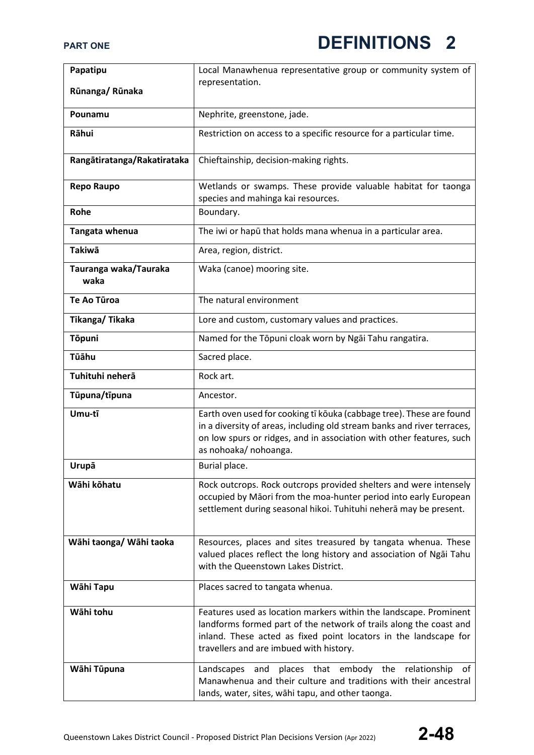| Papatipu                      | Local Manawhenua representative group or community system of                                                                                                                                                                                           |
|-------------------------------|--------------------------------------------------------------------------------------------------------------------------------------------------------------------------------------------------------------------------------------------------------|
| Rūnanga/Rūnaka                | representation.                                                                                                                                                                                                                                        |
|                               |                                                                                                                                                                                                                                                        |
| Pounamu                       | Nephrite, greenstone, jade.                                                                                                                                                                                                                            |
| Rāhui                         | Restriction on access to a specific resource for a particular time.                                                                                                                                                                                    |
| Rangātiratanga/Rakatirataka   | Chieftainship, decision-making rights.                                                                                                                                                                                                                 |
| <b>Repo Raupo</b>             | Wetlands or swamps. These provide valuable habitat for taonga<br>species and mahinga kai resources.                                                                                                                                                    |
| Rohe                          | Boundary.                                                                                                                                                                                                                                              |
| Tangata whenua                | The iwi or hapū that holds mana whenua in a particular area.                                                                                                                                                                                           |
| <b>Takiwā</b>                 | Area, region, district.                                                                                                                                                                                                                                |
| Tauranga waka/Tauraka<br>waka | Waka (canoe) mooring site.                                                                                                                                                                                                                             |
| <b>Te Ao Tūroa</b>            | The natural environment                                                                                                                                                                                                                                |
| Tikanga/Tikaka                | Lore and custom, customary values and practices.                                                                                                                                                                                                       |
| <b>Tōpuni</b>                 | Named for the Tōpuni cloak worn by Ngai Tahu rangatira.                                                                                                                                                                                                |
| Tūāhu                         | Sacred place.                                                                                                                                                                                                                                          |
| Tuhituhi neherā               | Rock art.                                                                                                                                                                                                                                              |
| Tūpuna/tīpuna                 | Ancestor.                                                                                                                                                                                                                                              |
| Umu-tī                        | Earth oven used for cooking tī kōuka (cabbage tree). These are found<br>in a diversity of areas, including old stream banks and river terraces,<br>on low spurs or ridges, and in association with other features, such<br>as nohoaka/ nohoanga.       |
| Urupā                         | Burial place.                                                                                                                                                                                                                                          |
| Wāhi kōhatu                   | Rock outcrops. Rock outcrops provided shelters and were intensely<br>occupied by Māori from the moa-hunter period into early European<br>settlement during seasonal hikoi. Tuhituhi neherā may be present.                                             |
| Wāhi taonga/ Wāhi taoka       | Resources, places and sites treasured by tangata whenua. These<br>valued places reflect the long history and association of Ngai Tahu<br>with the Queenstown Lakes District.                                                                           |
| Wāhi Tapu                     | Places sacred to tangata whenua.                                                                                                                                                                                                                       |
| Wāhi tohu                     | Features used as location markers within the landscape. Prominent<br>landforms formed part of the network of trails along the coast and<br>inland. These acted as fixed point locators in the landscape for<br>travellers and are imbued with history. |
| Wāhi Tūpuna                   | Landscapes and places that embody the relationship of<br>Manawhenua and their culture and traditions with their ancestral<br>lands, water, sites, wāhi tapu, and other taonga.                                                                         |